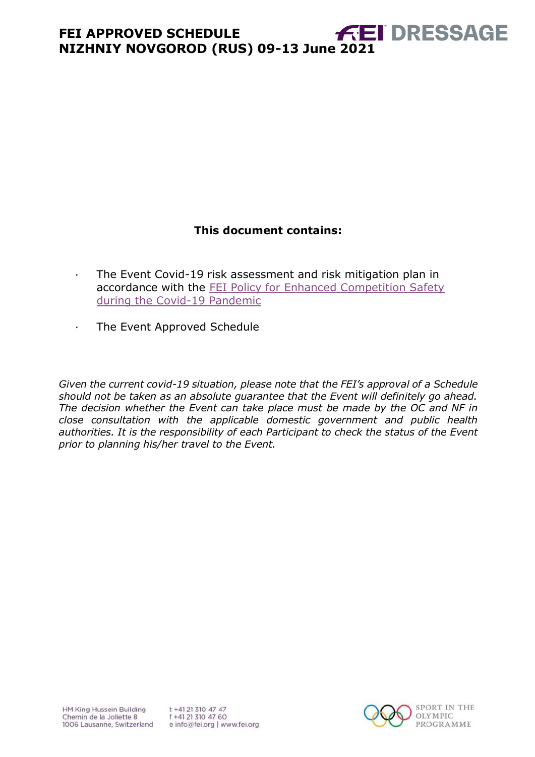# **This document contains:**

- <span id="page-0-0"></span>· The Event Covid-19 risk assessment and risk mitigation plan in accordance with the [FEI Policy for Enhanced Competition Safety](https://inside.fei.org/fei/covid-19/return-to-play)  [during the Covid-19 Pandemic](https://inside.fei.org/fei/covid-19/return-to-play)
- · The Event Approved Schedule

*Given the current covid-19 situation, please note that the FEI's approval of a Schedule should not be taken as an absolute guarantee that the Event will definitely go ahead. The decision whether the Event can take place must be made by the OC and NF in close consultation with the applicable domestic government and public health authorities. It is the responsibility of each Participant to check the status of the Event prior to planning his/her travel to the Event.*

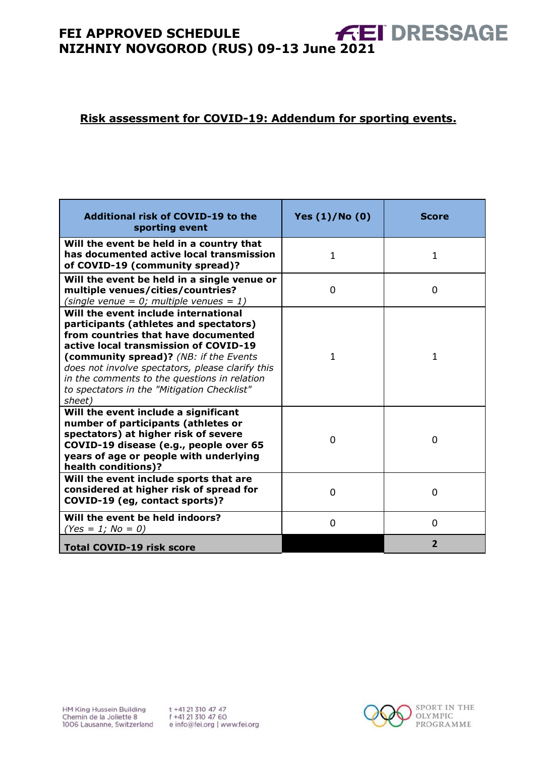# **FEI APPROVED SCHEDULE** FEI APPROVED SCHEDULE<br>NIZHNIY NOVGOROD (RUS) 09-13 June 2021

#### **Risk assessment for COVID-19: Addendum for sporting events.**

| Additional risk of COVID-19 to the<br>sporting event                                                                                                                                                                                                                                                                                                                  | Yes $(1)/N$ o $(0)$ | <b>Score</b>   |
|-----------------------------------------------------------------------------------------------------------------------------------------------------------------------------------------------------------------------------------------------------------------------------------------------------------------------------------------------------------------------|---------------------|----------------|
| Will the event be held in a country that<br>has documented active local transmission<br>of COVID-19 (community spread)?                                                                                                                                                                                                                                               | $\mathbf{1}$        | $\mathbf{1}$   |
| Will the event be held in a single venue or<br>multiple venues/cities/countries?<br>(single venue = $0$ ; multiple venues = 1)                                                                                                                                                                                                                                        | $\Omega$            | 0              |
| Will the event include international<br>participants (athletes and spectators)<br>from countries that have documented<br>active local transmission of COVID-19<br>(community spread)? (NB: if the Events<br>does not involve spectators, please clarify this<br>in the comments to the questions in relation<br>to spectators in the "Mitigation Checklist"<br>sheet) | 1                   | 1              |
| Will the event include a significant<br>number of participants (athletes or<br>spectators) at higher risk of severe<br>COVID-19 disease (e.g., people over 65<br>years of age or people with underlying<br>health conditions)?                                                                                                                                        | 0                   | $\Omega$       |
| Will the event include sports that are<br>considered at higher risk of spread for<br>COVID-19 (eg, contact sports)?                                                                                                                                                                                                                                                   | $\Omega$            | $\Omega$       |
| Will the event be held indoors?<br>$(Yes = 1; No = 0)$                                                                                                                                                                                                                                                                                                                | 0                   | $\overline{0}$ |
| <b>Total COVID-19 risk score</b>                                                                                                                                                                                                                                                                                                                                      |                     | $\overline{2}$ |

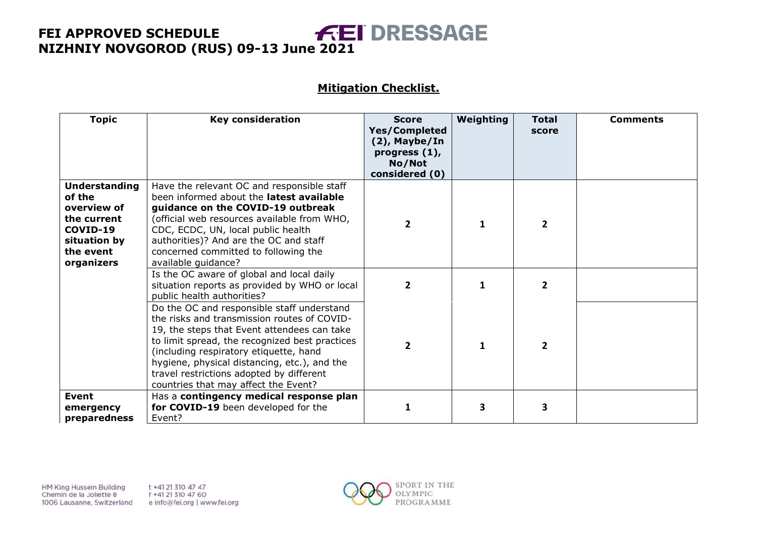#### **Mitigation Checklist.**

| <b>Topic</b>                                                                                                        | <b>Key consideration</b>                                                                                                                                                                                                                                                                                                                                                 | <b>Score</b><br><b>Yes/Completed</b><br>$(2)$ , Maybe/In<br>progress $(1)$ ,<br>No/Not<br>considered (0) | Weighting | <b>Total</b><br>score | <b>Comments</b> |
|---------------------------------------------------------------------------------------------------------------------|--------------------------------------------------------------------------------------------------------------------------------------------------------------------------------------------------------------------------------------------------------------------------------------------------------------------------------------------------------------------------|----------------------------------------------------------------------------------------------------------|-----------|-----------------------|-----------------|
| <b>Understanding</b><br>of the<br>overview of<br>the current<br>COVID-19<br>situation by<br>the event<br>organizers | Have the relevant OC and responsible staff<br>been informed about the latest available<br>guidance on the COVID-19 outbreak<br>(official web resources available from WHO,<br>CDC, ECDC, UN, local public health<br>authorities)? And are the OC and staff<br>concerned committed to following the<br>available guidance?                                                | $\overline{2}$                                                                                           | 1         | $\overline{2}$        |                 |
|                                                                                                                     | Is the OC aware of global and local daily<br>situation reports as provided by WHO or local<br>public health authorities?                                                                                                                                                                                                                                                 | $\mathbf{2}$                                                                                             | 1         | 2                     |                 |
|                                                                                                                     | Do the OC and responsible staff understand<br>the risks and transmission routes of COVID-<br>19, the steps that Event attendees can take<br>to limit spread, the recognized best practices<br>(including respiratory etiquette, hand<br>hygiene, physical distancing, etc.), and the<br>travel restrictions adopted by different<br>countries that may affect the Event? | $\overline{2}$                                                                                           | 1         | $\overline{2}$        |                 |
| <b>Event</b><br>emergency<br>preparedness                                                                           | Has a contingency medical response plan<br>for COVID-19 been developed for the<br>Event?                                                                                                                                                                                                                                                                                 | 1                                                                                                        | 3         | 3                     |                 |

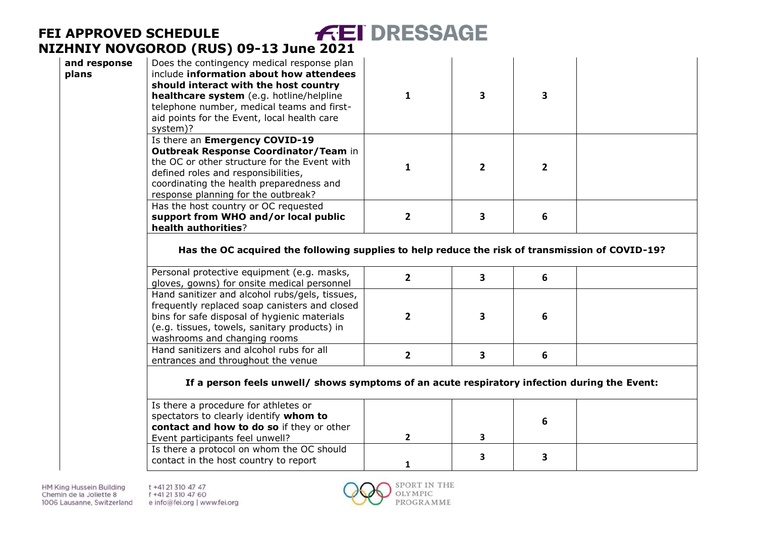| and response<br>plans | Does the contingency medical response plan<br>include information about how attendees<br>should interact with the host country<br>healthcare system (e.g. hotline/helpline<br>telephone number, medical teams and first-<br>aid points for the Event, local health care<br>system)? | $\mathbf{1}$   | 3              | $\overline{\mathbf{3}}$ |  |
|-----------------------|-------------------------------------------------------------------------------------------------------------------------------------------------------------------------------------------------------------------------------------------------------------------------------------|----------------|----------------|-------------------------|--|
|                       | Is there an Emergency COVID-19<br>Outbreak Response Coordinator/Team in<br>the OC or other structure for the Event with<br>defined roles and responsibilities,<br>coordinating the health preparedness and<br>response planning for the outbreak?                                   | 1              | $\overline{2}$ | $\mathbf{2}$            |  |
|                       | Has the host country or OC requested<br>support from WHO and/or local public<br>health authorities?                                                                                                                                                                                 | $\overline{2}$ | 3              | 6                       |  |
|                       | Has the OC acquired the following supplies to help reduce the risk of transmission of COVID-19?                                                                                                                                                                                     |                |                |                         |  |
|                       | Personal protective equipment (e.g. masks,<br>gloves, gowns) for onsite medical personnel                                                                                                                                                                                           | $\overline{2}$ | 3              | 6                       |  |
|                       | Hand sanitizer and alcohol rubs/gels, tissues,<br>frequently replaced soap canisters and closed<br>bins for safe disposal of hygienic materials<br>(e.g. tissues, towels, sanitary products) in<br>washrooms and changing rooms                                                     | $\overline{2}$ | 3              | 6                       |  |
|                       | Hand sanitizers and alcohol rubs for all<br>entrances and throughout the venue                                                                                                                                                                                                      | $\overline{2}$ | 3              | 6                       |  |
|                       | If a person feels unwell/ shows symptoms of an acute respiratory infection during the Event:                                                                                                                                                                                        |                |                |                         |  |
|                       | Is there a procedure for athletes or<br>spectators to clearly identify whom to<br>contact and how to do so if they or other<br>Event participants feel unwell?                                                                                                                      | $\mathbf{2}$   | 3              | 6                       |  |
|                       | Is there a protocol on whom the OC should<br>contact in the host country to report                                                                                                                                                                                                  | $\mathbf{1}$   | 3              | 3                       |  |

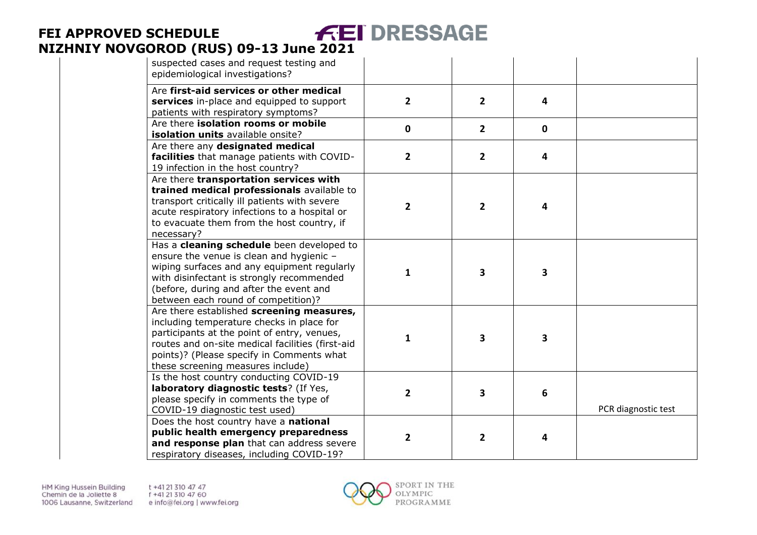| suspected cases and request testing and<br>epidemiological investigations?                                                                                                                                                                                                  |                |                |             |                     |
|-----------------------------------------------------------------------------------------------------------------------------------------------------------------------------------------------------------------------------------------------------------------------------|----------------|----------------|-------------|---------------------|
| Are first-aid services or other medical<br>services in-place and equipped to support<br>patients with respiratory symptoms?                                                                                                                                                 | $\overline{2}$ | $\overline{2}$ | 4           |                     |
| Are there isolation rooms or mobile<br>isolation units available onsite?                                                                                                                                                                                                    | $\mathbf 0$    | $\overline{2}$ | $\mathbf 0$ |                     |
| Are there any designated medical<br>facilities that manage patients with COVID-<br>19 infection in the host country?                                                                                                                                                        | 2              | $\overline{2}$ | 4           |                     |
| Are there transportation services with<br>trained medical professionals available to<br>transport critically ill patients with severe<br>acute respiratory infections to a hospital or<br>to evacuate them from the host country, if<br>necessary?                          | 2              | $\overline{2}$ | 4           |                     |
| Has a cleaning schedule been developed to<br>ensure the venue is clean and hygienic -<br>wiping surfaces and any equipment regularly<br>with disinfectant is strongly recommended<br>(before, during and after the event and<br>between each round of competition)?         | $\mathbf{1}$   | 3              | 3           |                     |
| Are there established screening measures,<br>including temperature checks in place for<br>participants at the point of entry, venues,<br>routes and on-site medical facilities (first-aid<br>points)? (Please specify in Comments what<br>these screening measures include) | 1              | 3              | 3           |                     |
| Is the host country conducting COVID-19<br>laboratory diagnostic tests? (If Yes,<br>please specify in comments the type of<br>COVID-19 diagnostic test used)                                                                                                                | 2              | 3              | 6           | PCR diagnostic test |
| Does the host country have a national<br>public health emergency preparedness<br>and response plan that can address severe<br>respiratory diseases, including COVID-19?                                                                                                     | 2              | 2              | 4           |                     |

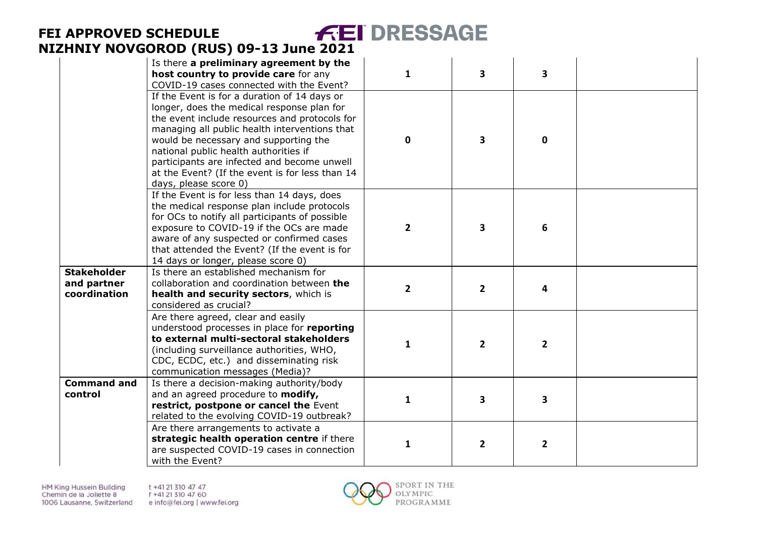|                                                   | Is there a preliminary agreement by the<br>host country to provide care for any<br>COVID-19 cases connected with the Event?                                                                                                                                                                                                                                                                               | $\mathbf{1}$   | 3              | 3            |  |
|---------------------------------------------------|-----------------------------------------------------------------------------------------------------------------------------------------------------------------------------------------------------------------------------------------------------------------------------------------------------------------------------------------------------------------------------------------------------------|----------------|----------------|--------------|--|
|                                                   | If the Event is for a duration of 14 days or<br>longer, does the medical response plan for<br>the event include resources and protocols for<br>managing all public health interventions that<br>would be necessary and supporting the<br>national public health authorities if<br>participants are infected and become unwell<br>at the Event? (If the event is for less than 14<br>days, please score 0) | $\mathbf 0$    | 3              | $\mathbf 0$  |  |
|                                                   | If the Event is for less than 14 days, does<br>the medical response plan include protocols<br>for OCs to notify all participants of possible<br>exposure to COVID-19 if the OCs are made<br>aware of any suspected or confirmed cases<br>that attended the Event? (If the event is for<br>14 days or longer, please score 0)                                                                              | $\overline{2}$ | 3              | 6            |  |
| <b>Stakeholder</b><br>and partner<br>coordination | Is there an established mechanism for<br>collaboration and coordination between the<br>health and security sectors, which is<br>considered as crucial?                                                                                                                                                                                                                                                    | $\overline{2}$ | $\overline{2}$ | 4            |  |
|                                                   | Are there agreed, clear and easily<br>understood processes in place for reporting<br>to external multi-sectoral stakeholders<br>(including surveillance authorities, WHO,<br>CDC, ECDC, etc.) and disseminating risk<br>communication messages (Media)?                                                                                                                                                   | 1              | $\mathbf{2}$   | 2            |  |
| <b>Command and</b><br>control                     | Is there a decision-making authority/body<br>and an agreed procedure to modify,<br>restrict, postpone or cancel the Event<br>related to the evolving COVID-19 outbreak?                                                                                                                                                                                                                                   | 1              | 3              | 3            |  |
|                                                   | Are there arrangements to activate a<br>strategic health operation centre if there<br>are suspected COVID-19 cases in connection<br>with the Event?                                                                                                                                                                                                                                                       | 1              | 2              | $\mathbf{2}$ |  |

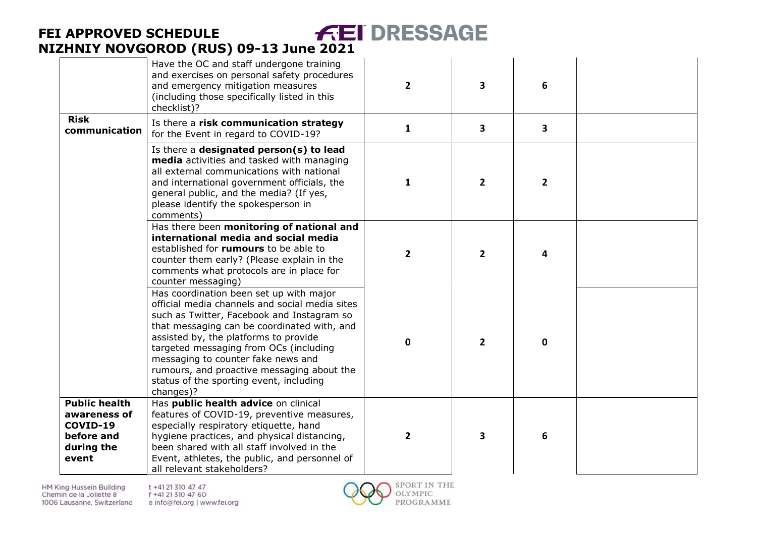|                                                                                       | Have the OC and staff undergone training<br>and exercises on personal safety procedures<br>and emergency mitigation measures<br>(including those specifically listed in this<br>checklist)?                                                                                                                                                                                                                           | $\mathbf{2}$   | $\overline{\mathbf{3}}$ | 6                       |  |
|---------------------------------------------------------------------------------------|-----------------------------------------------------------------------------------------------------------------------------------------------------------------------------------------------------------------------------------------------------------------------------------------------------------------------------------------------------------------------------------------------------------------------|----------------|-------------------------|-------------------------|--|
| <b>Risk</b><br>communication                                                          | Is there a risk communication strategy<br>for the Event in regard to COVID-19?                                                                                                                                                                                                                                                                                                                                        | $\mathbf{1}$   | $\overline{\mathbf{3}}$ | $\overline{\mathbf{3}}$ |  |
|                                                                                       | Is there a designated person(s) to lead<br>media activities and tasked with managing<br>all external communications with national<br>and international government officials, the<br>general public, and the media? (If yes,<br>please identify the spokesperson in<br>comments)                                                                                                                                       | $\mathbf{1}$   | $\overline{2}$          | $\overline{2}$          |  |
|                                                                                       | Has there been monitoring of national and<br>international media and social media<br>established for rumours to be able to<br>counter them early? (Please explain in the<br>comments what protocols are in place for<br>counter messaging)                                                                                                                                                                            | $\mathbf{2}$   | $\overline{2}$          | 4                       |  |
|                                                                                       | Has coordination been set up with major<br>official media channels and social media sites<br>such as Twitter, Facebook and Instagram so<br>that messaging can be coordinated with, and<br>assisted by, the platforms to provide<br>targeted messaging from OCs (including<br>messaging to counter fake news and<br>rumours, and proactive messaging about the<br>status of the sporting event, including<br>changes)? | $\mathbf 0$    | $\overline{2}$          | $\mathbf{0}$            |  |
| <b>Public health</b><br>awareness of<br>COVID-19<br>before and<br>during the<br>event | Has public health advice on clinical<br>features of COVID-19, preventive measures,<br>especially respiratory etiquette, hand<br>hygiene practices, and physical distancing,<br>been shared with all staff involved in the<br>Event, athletes, the public, and personnel of<br>all relevant stakeholders?                                                                                                              | $\overline{2}$ | $\overline{\mathbf{3}}$ | 6                       |  |

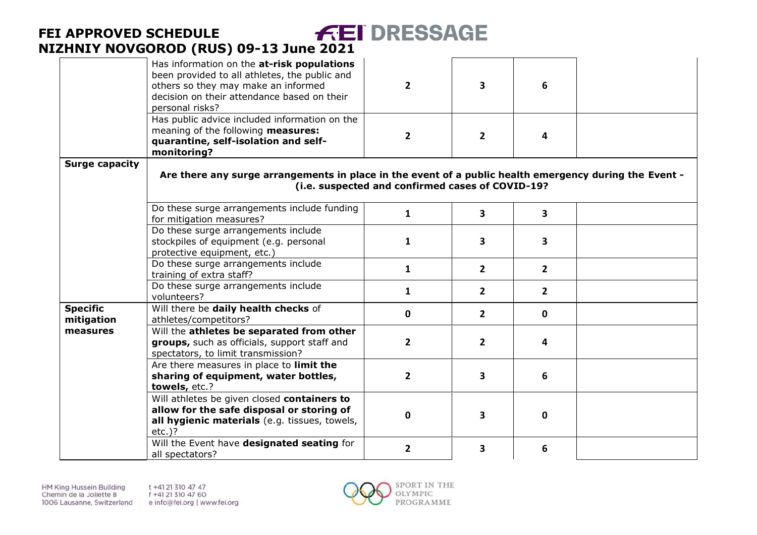|                               | Has information on the at-risk populations<br>been provided to all athletes, the public and<br>others so they may make an informed<br>decision on their attendance based on their<br>personal risks? | $\mathbf{2}$                                     | 3                       | 6              |  |
|-------------------------------|------------------------------------------------------------------------------------------------------------------------------------------------------------------------------------------------------|--------------------------------------------------|-------------------------|----------------|--|
|                               | Has public advice included information on the<br>meaning of the following measures:<br>quarantine, self-isolation and self-<br>monitoring?                                                           | 2                                                | $\mathbf{2}$            | 4              |  |
| <b>Surge capacity</b>         | Are there any surge arrangements in place in the event of a public health emergency during the Event -                                                                                               | (i.e. suspected and confirmed cases of COVID-19? |                         |                |  |
|                               | Do these surge arrangements include funding<br>for mitigation measures?                                                                                                                              | 1                                                | $\overline{\mathbf{3}}$ | 3              |  |
|                               | Do these surge arrangements include<br>stockpiles of equipment (e.g. personal<br>protective equipment, etc.)                                                                                         | 1                                                | 3                       | 3              |  |
|                               | Do these surge arrangements include<br>training of extra staff?                                                                                                                                      | $\mathbf{1}$                                     | $2^{\circ}$             | $\overline{2}$ |  |
|                               | Do these surge arrangements include<br>volunteers?                                                                                                                                                   | 1                                                | $\mathbf{2}$            | $\mathbf{2}$   |  |
| <b>Specific</b><br>mitigation | Will there be daily health checks of<br>athletes/competitors?                                                                                                                                        | 0                                                | $\mathbf{2}$            | 0              |  |
| measures                      | Will the athletes be separated from other<br>groups, such as officials, support staff and<br>spectators, to limit transmission?                                                                      | $\overline{2}$                                   | $\mathbf{2}$            | 4              |  |
|                               | Are there measures in place to limit the<br>sharing of equipment, water bottles,<br>towels, etc.?                                                                                                    | $\overline{2}$                                   | 3                       | 6              |  |
|                               | Will athletes be given closed containers to<br>allow for the safe disposal or storing of<br>all hygienic materials (e.g. tissues, towels,<br>$etc.$ )?                                               | 0                                                | 3                       | 0              |  |
|                               | Will the Event have designated seating for<br>all spectators?                                                                                                                                        | $\overline{2}$                                   | 3                       | 6              |  |

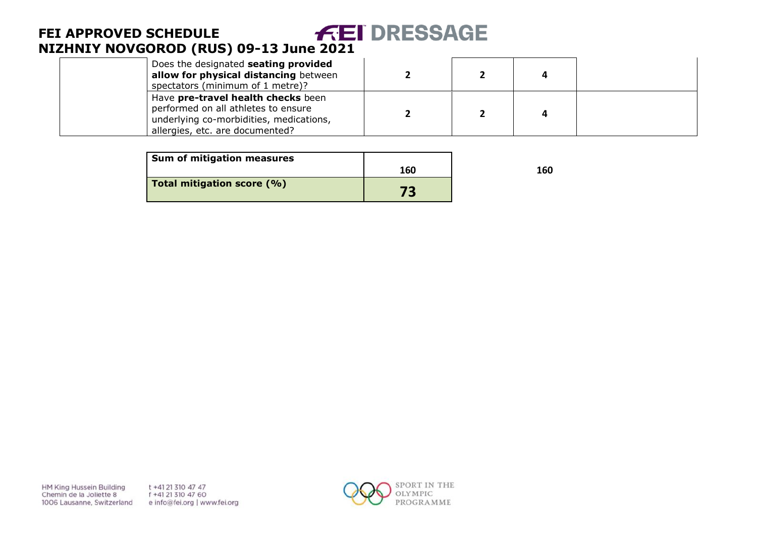| Does the designated seating provided<br>allow for physical distancing between<br>spectators (minimum of 1 metre)?                                       |  |  |
|---------------------------------------------------------------------------------------------------------------------------------------------------------|--|--|
| Have pre-travel health checks been<br>performed on all athletes to ensure<br>underlying co-morbidities, medications,<br>allergies, etc. are documented? |  |  |

| Sum of mitigation measures |     |     |
|----------------------------|-----|-----|
|                            | 160 | 160 |
| Total mitigation score (%) | 73  |     |

HM King Hussein Building Chemin de la Joliette 8 1006 Lausanne, Switzerland t +41 21 310 47 47 f +41 21 310 47 60 e info@fei.org | www.fei.org

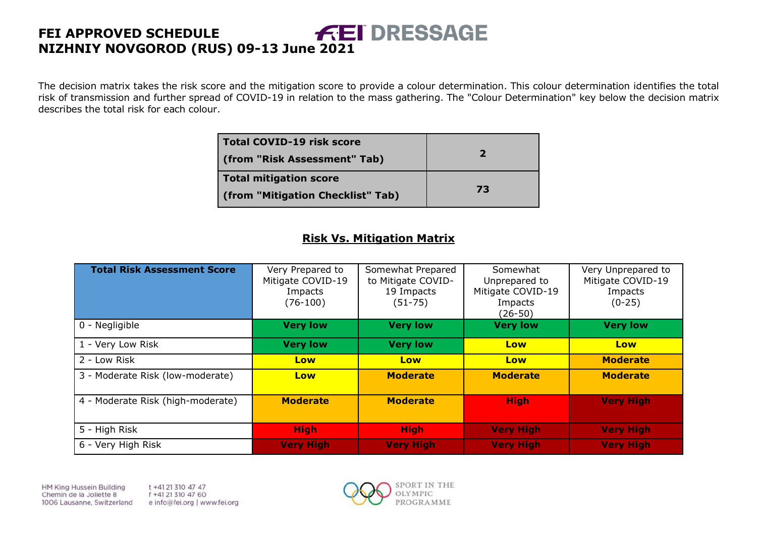The decision matrix takes the risk score and the mitigation score to provide a colour determination. This colour determination identifies the total risk of transmission and further spread of COVID-19 in relation to the mass gathering. The "Colour Determination" key below the decision matrix describes the total risk for each colour.

| <b>Total COVID-19 risk score</b><br>(from "Risk Assessment" Tab) | $\mathbf{z}$ |
|------------------------------------------------------------------|--------------|
| <b>Total mitigation score</b>                                    |              |
| (from "Mitigation Checklist" Tab)                                | 73           |

#### **Risk Vs. Mitigation Matrix**

| <b>Total Risk Assessment Score</b> | Very Prepared to<br>Mitigate COVID-19<br>Impacts<br>$(76-100)$ | Somewhat Prepared<br>to Mitigate COVID-<br>19 Impacts<br>$(51 - 75)$ | Somewhat<br>Unprepared to<br>Mitigate COVID-19<br>Impacts<br>(26-50) | Very Unprepared to<br>Mitigate COVID-19<br>Impacts<br>$(0-25)$ |
|------------------------------------|----------------------------------------------------------------|----------------------------------------------------------------------|----------------------------------------------------------------------|----------------------------------------------------------------|
| 0 - Negligible                     | <b>Very low</b>                                                | <b>Very low</b>                                                      | <b>Very low</b>                                                      | <b>Very low</b>                                                |
| 1 - Very Low Risk                  | <b>Very low</b>                                                | <b>Very low</b>                                                      | Low                                                                  | Low                                                            |
| 2 - Low Risk                       | Low                                                            | Low                                                                  | Low                                                                  | <b>Moderate</b>                                                |
| 3 - Moderate Risk (low-moderate)   | Low                                                            | <b>Moderate</b>                                                      | <b>Moderate</b>                                                      | <b>Moderate</b>                                                |
| 4 - Moderate Risk (high-moderate)  | <b>Moderate</b>                                                | <b>Moderate</b>                                                      | <b>High</b>                                                          | <b>Very High</b>                                               |
| 5 - High Risk                      | <b>High</b>                                                    | <b>High</b>                                                          | <b>Very High</b>                                                     | <b>Very High</b>                                               |
| 6 - Very High Risk                 | <b>Very High</b>                                               | <b>Very High</b>                                                     | <b>Very High</b>                                                     | <b>Very High</b>                                               |

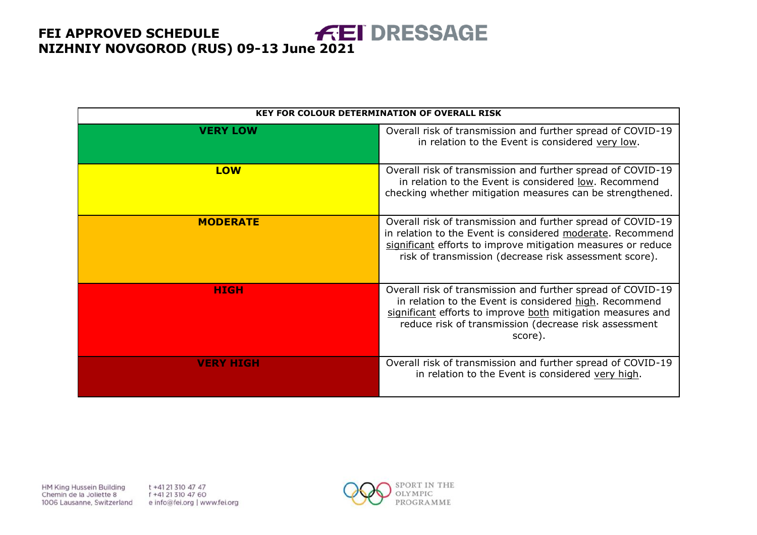|                  | <b>KEY FOR COLOUR DETERMINATION OF OVERALL RISK</b>                                                                                                                                                                                                      |
|------------------|----------------------------------------------------------------------------------------------------------------------------------------------------------------------------------------------------------------------------------------------------------|
| <b>VERY LOW</b>  | Overall risk of transmission and further spread of COVID-19<br>in relation to the Event is considered very low.                                                                                                                                          |
| <b>LOW</b>       | Overall risk of transmission and further spread of COVID-19<br>in relation to the Event is considered low. Recommend<br>checking whether mitigation measures can be strengthened.                                                                        |
| <b>MODERATE</b>  | Overall risk of transmission and further spread of COVID-19<br>in relation to the Event is considered moderate. Recommend<br>significant efforts to improve mitigation measures or reduce<br>risk of transmission (decrease risk assessment score).      |
| <b>HIGH</b>      | Overall risk of transmission and further spread of COVID-19<br>in relation to the Event is considered high. Recommend<br>significant efforts to improve both mitigation measures and<br>reduce risk of transmission (decrease risk assessment<br>score). |
| <b>VERY HIGH</b> | Overall risk of transmission and further spread of COVID-19<br>in relation to the Event is considered very high.                                                                                                                                         |

HM King Hussein Building Chemin de la Joliette 8 1006 Lausanne, Switzerland t +41 21 310 47 47 f +41 21 310 47 60 e info@fei.org | www.fei.org

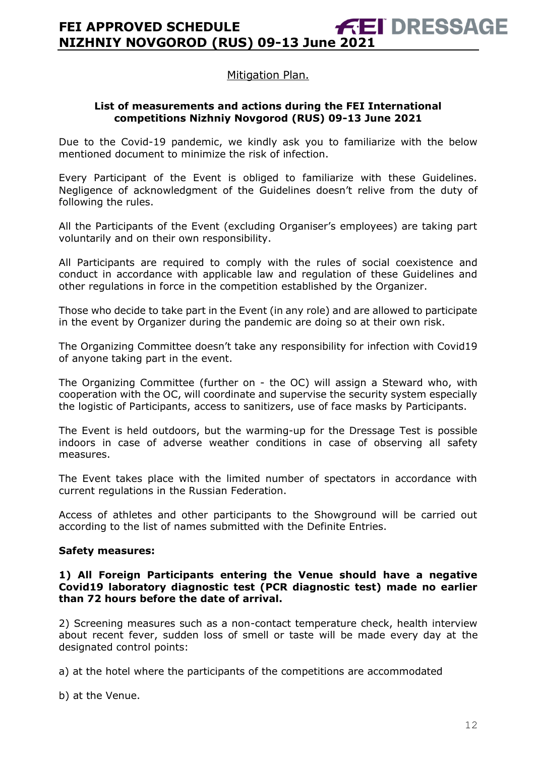#### Mitigation Plan.

#### **List of measurements and actions during the FEI International competitions Nizhniy Novgorod (RUS) 09-13 June 2021**

Due to the Covid-19 pandemic, we kindly ask you to familiarize with the below mentioned document to minimize the risk of infection.

Every Participant of the Event is obliged to familiarize with these Guidelines. Negligence of acknowledgment of the Guidelines doesn't relive from the duty of following the rules.

All the Participants of the Event (excluding Organiser's employees) are taking part voluntarily and on their own responsibility.

All Participants are required to comply with the rules of social coexistence and conduct in accordance with applicable law and regulation of these Guidelines and other regulations in force in the competition established by the Organizer.

Those who decide to take part in the Event (in any role) and are allowed to participate in the event by Organizer during the pandemic are doing so at their own risk.

The Organizing Committee doesn't take any responsibility for infection with Covid19 of anyone taking part in the event.

The Organizing Committee (further on - the OC) will assign a Steward who, with cooperation with the OC, will coordinate and supervise the security system especially the logistic of Participants, access to sanitizers, use of face masks by Participants.

The Event is held outdoors, but the warming-up for the Dressage Test is possible indoors in case of adverse weather conditions in case of observing all safety measures.

The Event takes place with the limited number of spectators in accordance with current regulations in the Russian Federation.

Access of athletes and other participants to the Showground will be carried out according to the list of names submitted with the Definite Entries.

#### **Safety measures:**

#### **1) All Foreign Participants entering the Venue should have a negative Covid19 laboratory diagnostic test (PCR diagnostic test) made no earlier than 72 hours before the date of arrival.**

2) Screening measures such as a non-contact temperature check, health interview about recent fever, sudden loss of smell or taste will be made every day at the designated control points:

a) at the hotel where the participants of the competitions are accommodated

b) at the Venue.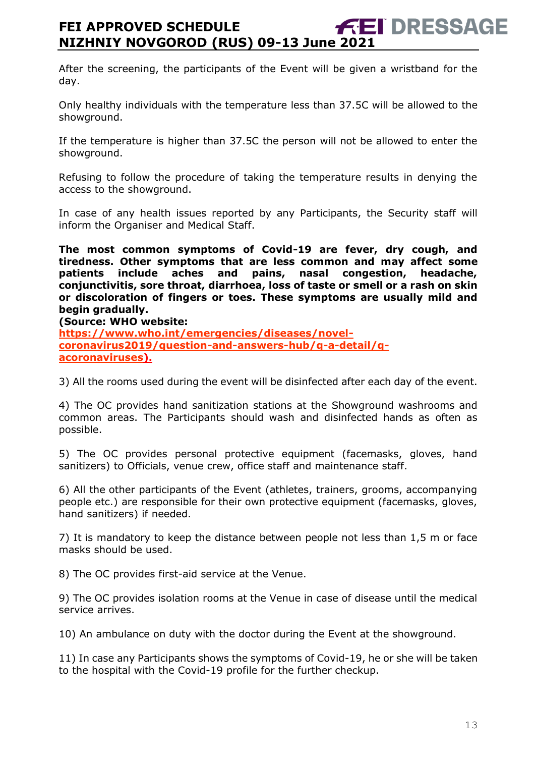After the screening, the participants of the Event will be given a wristband for the day.

Only healthy individuals with the temperature less than 37.5C will be allowed to the showground.

If the temperature is higher than 37.5C the person will not be allowed to enter the showground.

Refusing to follow the procedure of taking the temperature results in denying the access to the showground.

In case of any health issues reported by any Participants, the Security staff will inform the Organiser and Medical Staff.

**The most common symptoms of Covid-19 are fever, dry cough, and tiredness. Other symptoms that are less common and may affect some patients include aches and pains, nasal congestion, headache, conjunctivitis, sore throat, diarrhoea, loss of taste or smell or a rash on skin or discoloration of fingers or toes. These symptoms are usually mild and begin gradually.** 

#### **(Source: WHO website:**

**[https://www.who.int/emergencies/diseases/novel](https://www.who.int/emergencies/diseases/novel-coronavirus2019/question-and-answers-hub/q-a-detail/q-acoronaviruses)[coronavirus2019/question-and-answers-hub/q-a-detail/q](https://www.who.int/emergencies/diseases/novel-coronavirus2019/question-and-answers-hub/q-a-detail/q-acoronaviruses)[acoronaviruses\)](https://www.who.int/emergencies/diseases/novel-coronavirus2019/question-and-answers-hub/q-a-detail/q-acoronaviruses).** 

3) All the rooms used during the event will be disinfected after each day of the event.

4) The OC provides hand sanitization stations at the Showground washrooms and common areas. The Participants should wash and disinfected hands as often as possible.

5) The OC provides personal protective equipment (facemasks, gloves, hand sanitizers) to Officials, venue crew, office staff and maintenance staff.

6) All the other participants of the Event (athletes, trainers, grooms, accompanying people etc.) are responsible for their own protective equipment (facemasks, gloves, hand sanitizers) if needed.

7) It is mandatory to keep the distance between people not less than 1,5 m or face masks should be used.

8) The OC provides first-aid service at the Venue.

9) The OC provides isolation rooms at the Venue in case of disease until the medical service arrives.

10) An ambulance on duty with the doctor during the Event at the showground.

11) In case any Participants shows the symptoms of Covid-19, he or she will be taken to the hospital with the Covid-19 profile for the further checkup.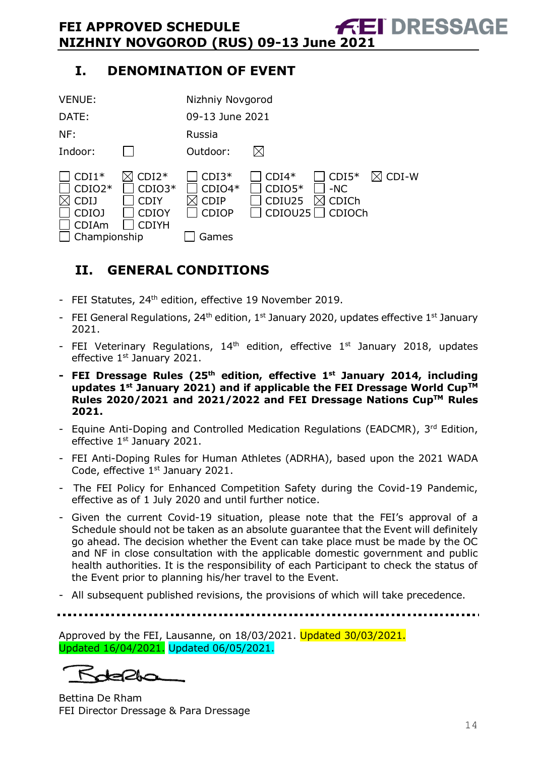# **I. DENOMINATION OF EVENT**

| <b>VENUE:</b>                                                               |                                                                    | Nizhniy Novgorod                                            |                                          |                                     |                   |
|-----------------------------------------------------------------------------|--------------------------------------------------------------------|-------------------------------------------------------------|------------------------------------------|-------------------------------------|-------------------|
| DATE:                                                                       |                                                                    | 09-13 June 2021                                             |                                          |                                     |                   |
| NF:                                                                         |                                                                    | Russia                                                      |                                          |                                     |                   |
| Indoor:                                                                     |                                                                    | Outdoor:                                                    | IХI                                      |                                     |                   |
| $CDI1*$<br>$CDIO2*$<br><b>CDIJ</b><br>CDIOJ<br><b>CDIAm</b><br>Championship | $CDI2*$<br>$CDIO3*$<br><b>CDIY</b><br><b>CDIOY</b><br><b>CDIYH</b> | $CDI3*$<br>$CDIO4*$<br><b>CDIP</b><br><b>CDIOP</b><br>Games | $CDI4*$<br>$CDIO5*$<br>CDIU25<br>CDIOU25 | $CDI5*$<br>$-NC$<br>CDICh<br>CDIOCh | $\boxtimes$ CDI-W |

# <span id="page-13-0"></span>**II. GENERAL CONDITIONS**

- FEI Statutes, 24<sup>th</sup> edition, effective 19 November 2019.
- FEI General Regulations,  $24<sup>th</sup>$  edition,  $1<sup>st</sup>$  January 2020, updates effective  $1<sup>st</sup>$  January 2021.
- FEI Veterinary Regulations,  $14<sup>th</sup>$  edition, effective  $1<sup>st</sup>$  January 2018, updates effective 1<sup>st</sup> January 2021.
- **- FEI Dressage Rules (25 th edition, effective 1st January 2014, including updates 1 st January 2021) and if applicable the FEI Dressage World CupTM Rules 2020/2021 and 2021/2022 and FEI Dressage Nations CupTM Rules 2021.**
- Equine Anti-Doping and Controlled Medication Regulations (EADCMR), 3rd Edition, effective 1<sup>st</sup> January 2021.
- FEI Anti-Doping Rules for Human Athletes (ADRHA), based upon the 2021 WADA Code, effective 1<sup>st</sup> January 2021.
- The FEI Policy for Enhanced Competition Safety during the Covid-19 Pandemic, effective as of 1 July 2020 and until further notice.
- Given the current Covid-19 situation, please note that the FEI's approval of a Schedule should not be taken as an absolute guarantee that the Event will definitely go ahead. The decision whether the Event can take place must be made by the OC and NF in close consultation with the applicable domestic government and public health authorities. It is the responsibility of each Participant to check the status of the Event prior to planning his/her travel to the Event.
- All subsequent published revisions, the provisions of which will take precedence.

Approved by the FEI, Lausanne, on 18/03/2021. Updated 30/03/2021. Updated 16/04/2021. Updated 06/05/2021.

Kdella

Bettina De Rham FEI Director Dressage & Para Dressage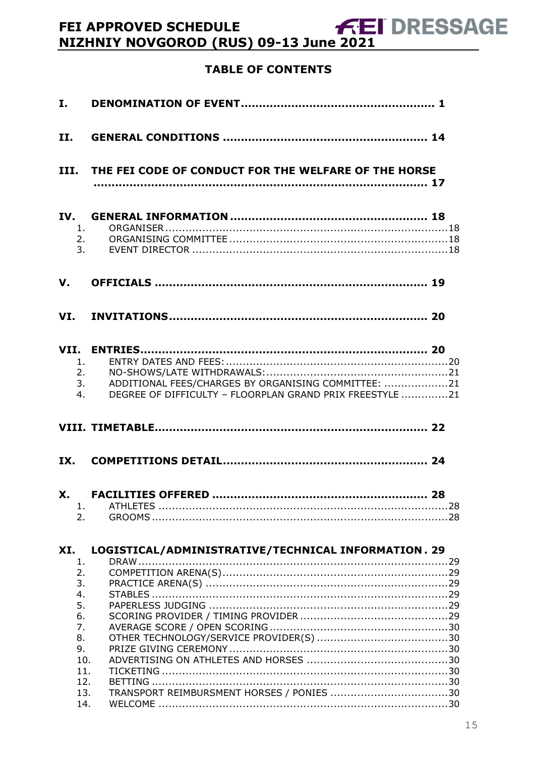# NET APPROVED SCHEDULE<br>NIZHNIY NOVGOROD (RUS) 09-13 June 2021

# **TABLE OF CONTENTS**

| I.                                |                                                                                                                       |
|-----------------------------------|-----------------------------------------------------------------------------------------------------------------------|
| II.                               |                                                                                                                       |
|                                   | III. THE FEI CODE OF CONDUCT FOR THE WELFARE OF THE HORSE                                                             |
| IV.<br>1.<br>2.<br>3 <sub>1</sub> |                                                                                                                       |
| V.                                |                                                                                                                       |
|                                   |                                                                                                                       |
| 1.<br>2.<br>4.                    | ADDITIONAL FEES/CHARGES BY ORGANISING COMMITTEE: 21<br>3.<br>DEGREE OF DIFFICULTY - FLOORPLAN GRAND PRIX FREESTYLE 21 |
|                                   |                                                                                                                       |
| IX.                               |                                                                                                                       |
| X.<br>1.<br>2.                    |                                                                                                                       |
| XI.<br>1.<br>2.<br>3.<br>4.<br>5. | LOGISTICAL/ADMINISTRATIVE/TECHNICAL INFORMATION . 29                                                                  |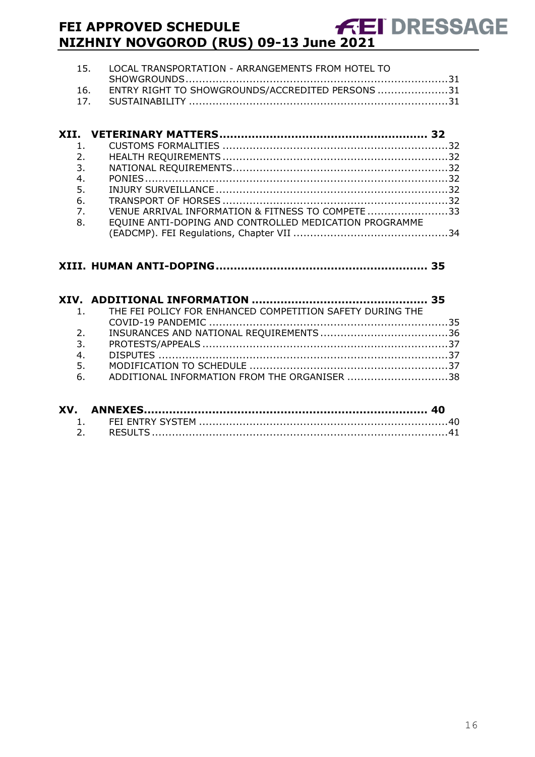# **FEI APPROVED SCHEDULE NIZHNIY NOVGOROD (RUS) 09-13 June 2021**

| 15. LOCAL TRANSPORTATION - ARRANGEMENTS FROM HOTEL TO |
|-------------------------------------------------------|
|                                                       |
| 16. ENTRY RIGHT TO SHOWGROUNDS/ACCREDITED PERSONS 31  |
|                                                       |

| $\mathbf{1}$ .   |                                                        |  |
|------------------|--------------------------------------------------------|--|
| 2.               |                                                        |  |
| 3.               |                                                        |  |
| 4.               |                                                        |  |
| 5.               |                                                        |  |
| 6.               |                                                        |  |
| $\overline{7}$ . | VENUE ARRIVAL INFORMATION & FITNESS TO COMPETE 33      |  |
| 8.               | EQUINE ANTI-DOPING AND CONTROLLED MEDICATION PROGRAMME |  |
|                  |                                                        |  |

#### **XIII. [HUMAN ANTI-DOPING...........................................................](#page-34-0) 35**

|    | 1. THE FEI POLICY FOR ENHANCED COMPETITION SAFETY DURING THE |  |
|----|--------------------------------------------------------------|--|
|    |                                                              |  |
| 2. |                                                              |  |
| 3. |                                                              |  |
| 4. |                                                              |  |
| 5. |                                                              |  |
| 6. | ADDITIONAL INFORMATION FROM THE ORGANISER 38                 |  |
|    |                                                              |  |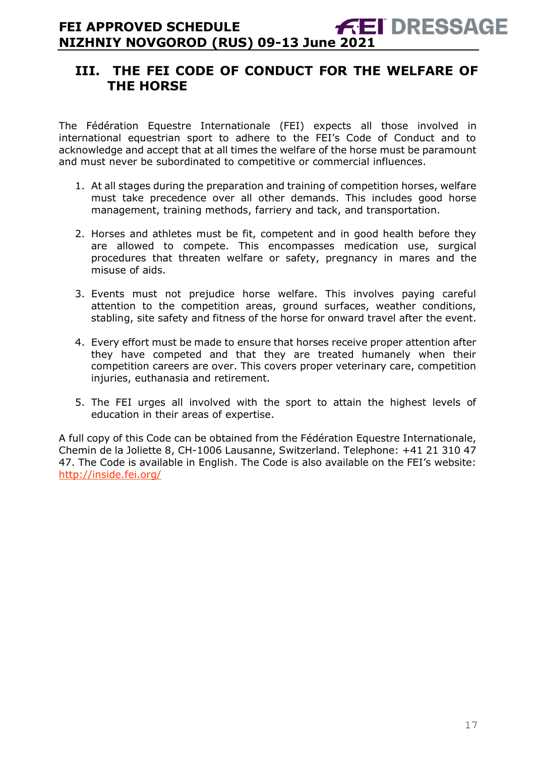# <span id="page-16-0"></span>**III. THE FEI CODE OF CONDUCT FOR THE WELFARE OF THE HORSE**

The Fédération Equestre Internationale (FEI) expects all those involved in international equestrian sport to adhere to the FEI's Code of Conduct and to acknowledge and accept that at all times the welfare of the horse must be paramount and must never be subordinated to competitive or commercial influences.

- 1. At all stages during the preparation and training of competition horses, welfare must take precedence over all other demands. This includes good horse management, training methods, farriery and tack, and transportation.
- 2. Horses and athletes must be fit, competent and in good health before they are allowed to compete. This encompasses medication use, surgical procedures that threaten welfare or safety, pregnancy in mares and the misuse of aids.
- 3. Events must not prejudice horse welfare. This involves paying careful attention to the competition areas, ground surfaces, weather conditions, stabling, site safety and fitness of the horse for onward travel after the event.
- 4. Every effort must be made to ensure that horses receive proper attention after they have competed and that they are treated humanely when their competition careers are over. This covers proper veterinary care, competition injuries, euthanasia and retirement.
- 5. The FEI urges all involved with the sport to attain the highest levels of education in their areas of expertise.

A full copy of this Code can be obtained from the Fédération Equestre Internationale, Chemin de la Joliette 8, CH-1006 Lausanne, Switzerland. Telephone: +41 21 310 47 47. The Code is available in English. The Code is also available on the FEI's website: <http://inside.fei.org/>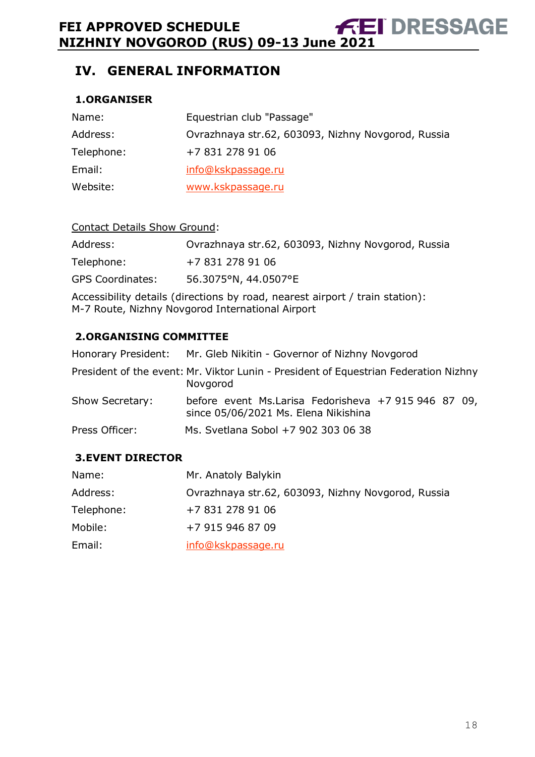# <span id="page-17-0"></span>**IV. GENERAL INFORMATION**

### <span id="page-17-1"></span>**1.ORGANISER**

| Name:      | Equestrian club "Passage"                          |
|------------|----------------------------------------------------|
| Address:   | Ovrazhnaya str.62, 603093, Nizhny Novgorod, Russia |
| Telephone: | +7 831 278 91 06                                   |
| Email:     | info@kskpassage.ru                                 |
| Website:   | www.kskpassage.ru                                  |

#### Contact Details Show Ground:

| Address:                | Ovrazhnaya str.62, 603093, Nizhny Novgorod, Russia |
|-------------------------|----------------------------------------------------|
| Telephone:              | +7 831 278 91 06                                   |
| <b>GPS Coordinates:</b> | 56.3075°N, 44.0507°E                               |

Accessibility details (directions by road, nearest airport / train station): M-7 Route, Nizhny Novgorod International Airport

#### <span id="page-17-2"></span>**2.ORGANISING COMMITTEE**

|                 | Honorary President: Mr. Gleb Nikitin - Governor of Nizhny Novgorod                               |
|-----------------|--------------------------------------------------------------------------------------------------|
|                 | President of the event: Mr. Viktor Lunin - President of Equestrian Federation Nizhny<br>Novgorod |
| Show Secretary: | before event Ms.Larisa Fedorisheva +7 915 946 87 09,<br>since 05/06/2021 Ms. Elena Nikishina     |
| Press Officer:  | Ms. Svetlana Sobol +7 902 303 06 38                                                              |

#### <span id="page-17-3"></span>**3.EVENT DIRECTOR**

| Name:      | Mr. Anatoly Balykin                                |
|------------|----------------------------------------------------|
| Address:   | Ovrazhnaya str.62, 603093, Nizhny Novgorod, Russia |
| Telephone: | +7 831 278 91 06                                   |
| Mobile:    | +7 915 946 87 09                                   |
| Email:     | info@kskpassage.ru                                 |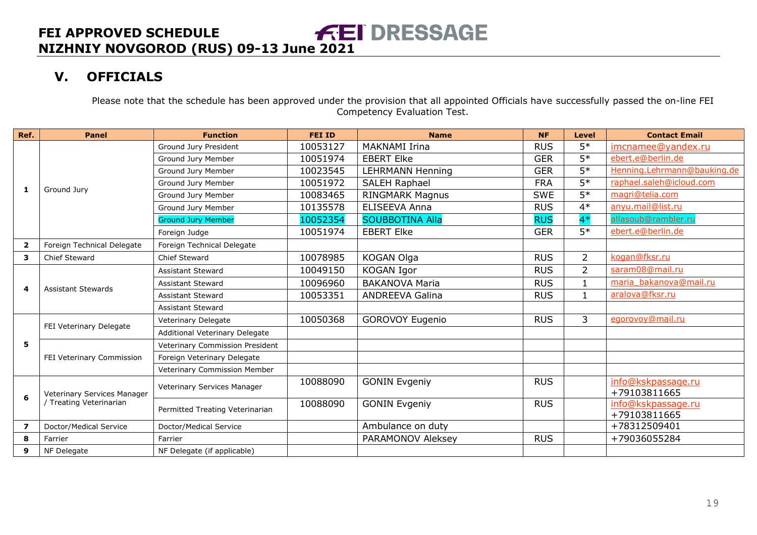# **V. OFFICIALS**

Please note that the schedule has been approved under the provision that all appointed Officials have successfully passed the on-line FEI Competency Evaluation Test.

<span id="page-18-0"></span>

| Ref.                    | <b>Panel</b>                                           | <b>Function</b>                 | <b>FEI ID</b> | <b>Name</b>             | <b>NF</b>  | <b>Level</b>   | <b>Contact Email</b>               |
|-------------------------|--------------------------------------------------------|---------------------------------|---------------|-------------------------|------------|----------------|------------------------------------|
|                         |                                                        | Ground Jury President           | 10053127      | <b>MAKNAMI Irina</b>    | <b>RUS</b> | $5*$           | imcnamee@yandex.ru                 |
|                         |                                                        | Ground Jury Member              | 10051974      | <b>EBERT Elke</b>       | <b>GER</b> | $5*$           | ebert.e@berlin.de                  |
|                         |                                                        | Ground Jury Member              | 10023545      | <b>LEHRMANN Henning</b> | <b>GER</b> | $5*$           | Henning.Lehrmann@bauking.de        |
|                         |                                                        | Ground Jury Member              | 10051972      | SALEH Raphael           | <b>FRA</b> | $5*$           | raphael.saleh@icloud.com           |
| 1                       | Ground Jury                                            | Ground Jury Member              | 10083465      | <b>RINGMARK Magnus</b>  | <b>SWE</b> | $5*$           | magri@telia.com                    |
|                         |                                                        | Ground Jury Member              | 10135578      | <b>ELISEEVA Anna</b>    | <b>RUS</b> | $4*$           | anyu.mail@list.ru                  |
|                         |                                                        | <b>Ground Jury Member</b>       | 10052354      | <b>SOUBBOTINA Alla</b>  | <b>RUS</b> | $4*$           | allasoub@rambler.ru                |
|                         |                                                        | Foreign Judge                   | 10051974      | <b>EBERT Elke</b>       | <b>GER</b> | $5*$           | ebert.e@berlin.de                  |
| $\overline{2}$          | Foreign Technical Delegate                             | Foreign Technical Delegate      |               |                         |            |                |                                    |
| 3                       | Chief Steward                                          | Chief Steward                   | 10078985      | KOGAN Olga              | <b>RUS</b> | $\overline{2}$ | kogan@fksr.ru                      |
|                         |                                                        | Assistant Steward               | 10049150      | KOGAN Igor              | <b>RUS</b> | $\overline{2}$ | saram08@mail.ru                    |
| 4                       | <b>Assistant Stewards</b>                              | <b>Assistant Steward</b>        | 10096960      | <b>BAKANOVA Maria</b>   | <b>RUS</b> |                | maria bakanova@mail.ru             |
|                         |                                                        | Assistant Steward               | 10053351      | <b>ANDREEVA Galina</b>  | <b>RUS</b> | $\mathbf{1}$   | aralova@fksr.ru                    |
|                         |                                                        | <b>Assistant Steward</b>        |               |                         |            |                |                                    |
|                         |                                                        | Veterinary Delegate             | 10050368      | <b>GOROVOY Eugenio</b>  | <b>RUS</b> | 3              | egorovoy@mail.ru                   |
|                         | FEI Veterinary Delegate                                | Additional Veterinary Delegate  |               |                         |            |                |                                    |
| 5                       |                                                        | Veterinary Commission President |               |                         |            |                |                                    |
|                         | FEI Veterinary Commission                              | Foreign Veterinary Delegate     |               |                         |            |                |                                    |
|                         |                                                        | Veterinary Commission Member    |               |                         |            |                |                                    |
| 6                       | Veterinary Services Manager<br>/ Treating Veterinarian | Veterinary Services Manager     | 10088090      | <b>GONIN Evgeniy</b>    | <b>RUS</b> |                | info@kskpassage.ru<br>+79103811665 |
|                         |                                                        |                                 | 10088090      | <b>GONIN Evgeniy</b>    | <b>RUS</b> |                | info@kskpassage.ru                 |
|                         |                                                        | Permitted Treating Veterinarian |               |                         |            |                | +79103811665                       |
| $\overline{\mathbf{z}}$ | Doctor/Medical Service                                 | Doctor/Medical Service          |               | Ambulance on duty       |            |                | +78312509401                       |
| 8                       | Farrier                                                | Farrier                         |               | PARAMONOV Aleksey       | <b>RUS</b> |                | +79036055284                       |
| 9                       | NF Delegate                                            | NF Delegate (if applicable)     |               |                         |            |                |                                    |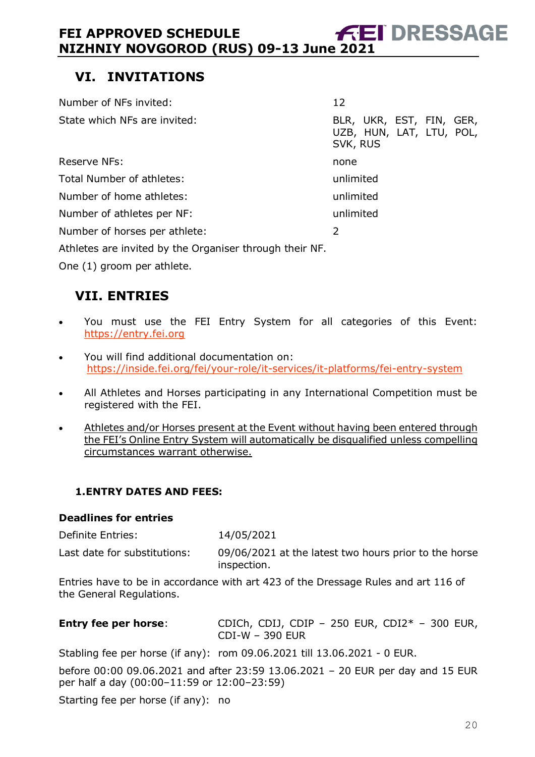# <span id="page-19-0"></span>**VI. INVITATIONS**

| Number of NFs invited:                                  | 12                                                               |
|---------------------------------------------------------|------------------------------------------------------------------|
| State which NFs are invited:                            | BLR, UKR, EST, FIN, GER,<br>UZB, HUN, LAT, LTU, POL,<br>SVK, RUS |
| <b>Reserve NFs:</b>                                     | none                                                             |
| Total Number of athletes:                               | unlimited                                                        |
| Number of home athletes:                                | unlimited                                                        |
| Number of athletes per NF:                              | unlimited                                                        |
| Number of horses per athlete:                           | 2                                                                |
| Athletes are invited by the Organiser through their NF. |                                                                  |

One (1) groom per athlete.

# <span id="page-19-1"></span>**VII. ENTRIES**

- You must use the FEI Entry System for all categories of this Event: [https://entry.fei.org](https://entry.fei.org/)
- You will find additional documentation on: <https://inside.fei.org/fei/your-role/it-services/it-platforms/fei-entry-system>
- All Athletes and Horses participating in any International Competition must be registered with the FEI.
- Athletes and/or Horses present at the Event without having been entered through the FEI's Online Entry System will automatically be disqualified unless compelling circumstances warrant otherwise.

## <span id="page-19-2"></span>**1.ENTRY DATES AND FEES:**

#### **Deadlines for entries**

| Definite Entries:            | 14/05/2021                                                           |
|------------------------------|----------------------------------------------------------------------|
| Last date for substitutions: | 09/06/2021 at the latest two hours prior to the horse<br>inspection. |

Entries have to be in accordance with art 423 of the Dressage Rules and art 116 of the General Regulations.

| <b>Entry fee per horse:</b> | CDICh, CDIJ, CDIP - 250 EUR, CDI2 $*$ - 300 EUR, |  |
|-----------------------------|--------------------------------------------------|--|
|                             | CDI-W - 390 EUR                                  |  |

Stabling fee per horse (if any): rom 09.06.2021 till 13.06.2021 - 0 EUR.

before 00:00 09.06.2021 and after 23:59 13.06.2021 – 20 EUR per day and 15 EUR per half a day (00:00–11:59 or 12:00–23:59)

Starting fee per horse (if any): no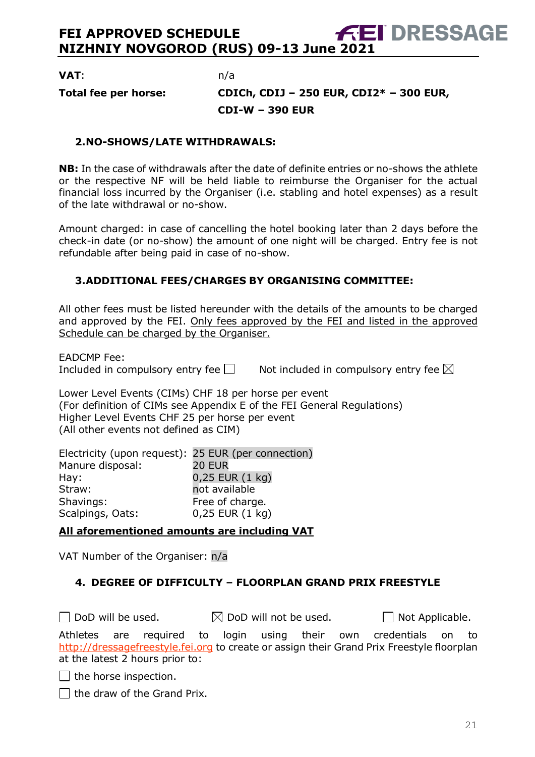**VAT**: n/a

# **Total fee per horse: CDICh, CDIJ – 250 EUR, CDI2\* – 300 EUR, CDI-W – 390 EUR**

#### <span id="page-20-0"></span>**2.NO-SHOWS/LATE WITHDRAWALS:**

**NB:** In the case of withdrawals after the date of definite entries or no-shows the athlete or the respective NF will be held liable to reimburse the Organiser for the actual financial loss incurred by the Organiser (i.e. stabling and hotel expenses) as a result of the late withdrawal or no-show.

Amount charged: in case of cancelling the hotel booking later than 2 days before the check-in date (or no-show) the amount of one night will be charged. Entry fee is not refundable after being paid in case of no-show.

#### <span id="page-20-1"></span>**3.ADDITIONAL FEES/CHARGES BY ORGANISING COMMITTEE:**

All other fees must be listed hereunder with the details of the amounts to be charged and approved by the FEI. Only fees approved by the FEI and listed in the approved Schedule can be charged by the Organiser.

EADCMP Fee:

Included in compulsory entry fee  $\Box$  Not included in compulsory entry fee  $\boxtimes$ 

Lower Level Events (CIMs) CHF 18 per horse per event (For definition of CIMs see Appendix E of the FEI General Regulations) Higher Level Events CHF 25 per horse per event (All other events not defined as CIM)

Electricity (upon request): 25 EUR (per connection) Manure disposal: 20 EUR Hay: 0,25 EUR (1 kg) Straw: not available Shavings: Free of charge. Scalpings, Oats: 0,25 EUR (1 kg)

**All aforementioned amounts are including VAT**

VAT Number of the Organiser: n/a

#### <span id="page-20-2"></span>**4. DEGREE OF DIFFICULTY – FLOORPLAN GRAND PRIX FREESTYLE**

 $\Box$  DoD will be used.  $\boxtimes$  DoD will not be used.  $\Box$  Not Applicable. Athletes are required to login using their own credentials on to [http://dressagefreestyle.fei.org](http://dressagefreestyle.fei.org/) to create or assign their Grand Prix Freestyle floorplan at the latest 2 hours prior to:

 $\Box$  the horse inspection.

 $\Box$  the draw of the Grand Prix.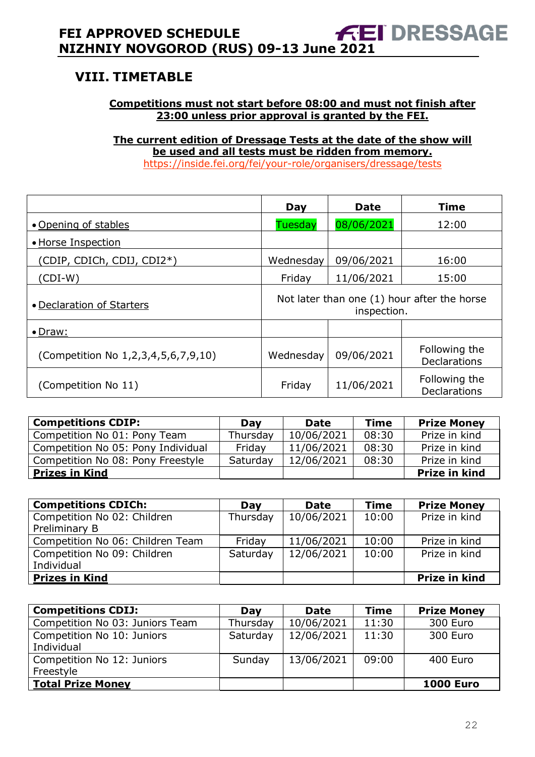# <span id="page-21-0"></span>**VIII. TIMETABLE**

#### **Competitions must not start before 08:00 and must not finish after 23:00 unless prior approval is granted by the FEI.**

**The current edition of Dressage Tests at the date of the show will be used and all tests must be ridden from memory.** <https://inside.fei.org/fei/your-role/organisers/dressage/tests>

|                                     | Day                                                        | <b>Date</b> | <b>Time</b>                          |  |  |
|-------------------------------------|------------------------------------------------------------|-------------|--------------------------------------|--|--|
| • Opening of stables                | <b>Tuesday</b>                                             | 08/06/2021  | 12:00                                |  |  |
| • Horse Inspection                  |                                                            |             |                                      |  |  |
| (CDIP, CDICh, CDIJ, CDI2*)          | Wednesday                                                  | 09/06/2021  | 16:00                                |  |  |
| (CDI-W)                             | Friday                                                     | 11/06/2021  | 15:00                                |  |  |
| • Declaration of Starters           | Not later than one (1) hour after the horse<br>inspection. |             |                                      |  |  |
| $\bullet$ Draw:                     |                                                            |             |                                      |  |  |
| (Competition No 1,2,3,4,5,6,7,9,10) | Wednesday                                                  | 09/06/2021  | Following the<br><b>Declarations</b> |  |  |
| (Competition No 11)                 | Friday                                                     | 11/06/2021  | Following the<br><b>Declarations</b> |  |  |

| <b>Competitions CDIP:</b>          | Day      | Date       | <b>Time</b> | <b>Prize Money</b> |
|------------------------------------|----------|------------|-------------|--------------------|
| Competition No 01: Pony Team       | Thursday | 10/06/2021 | 08:30       | Prize in kind      |
| Competition No 05: Pony Individual | Fridav   | 11/06/2021 | 08:30       | Prize in kind      |
| Competition No 08: Pony Freestyle  | Saturday | 12/06/2021 | 08:30       | Prize in kind      |
| <b>Prizes in Kind</b>              |          |            |             | Prize in kind      |

| <b>Competitions CDICh:</b>       | Day      | <b>Date</b> | <b>Time</b> | <b>Prize Money</b> |
|----------------------------------|----------|-------------|-------------|--------------------|
| Competition No 02: Children      | Thursday | 10/06/2021  | 10:00       | Prize in kind      |
| Preliminary B                    |          |             |             |                    |
| Competition No 06: Children Team | Friday   | 11/06/2021  | 10:00       | Prize in kind      |
| Competition No 09: Children      | Saturday | 12/06/2021  | 10:00       | Prize in kind      |
| Individual                       |          |             |             |                    |
| <b>Prizes in Kind</b>            |          |             |             | Prize in kind      |

| <b>Competitions CDIJ:</b>       | Day      | <b>Date</b> | <b>Time</b> | <b>Prize Money</b> |
|---------------------------------|----------|-------------|-------------|--------------------|
| Competition No 03: Juniors Team | Thursday | 10/06/2021  | 11:30       | 300 Euro           |
| Competition No 10: Juniors      | Saturday | 12/06/2021  | 11:30       | 300 Euro           |
| Individual                      |          |             |             |                    |
| Competition No 12: Juniors      | Sunday   | 13/06/2021  | 09:00       | 400 Euro           |
| Freestyle                       |          |             |             |                    |
| Total Prize Money               |          |             |             | <b>1000 Euro</b>   |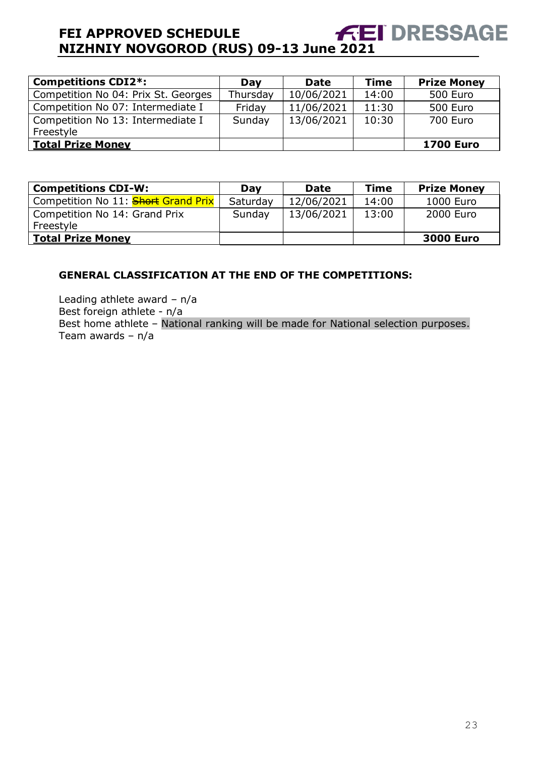# **FEI APPROVED SCHEDULE NIZHNIY NOVGOROD (RUS) 09-13 June 2021 DRESSAGE**

| <b>Competitions CDI2*:</b>          | Day      | <b>Date</b> | <b>Time</b> | <b>Prize Money</b> |
|-------------------------------------|----------|-------------|-------------|--------------------|
| Competition No 04: Prix St. Georges | Thursday | 10/06/2021  | 14:00       | 500 Euro           |
| Competition No 07: Intermediate I   | Friday   | 11/06/2021  | 11:30       | 500 Euro           |
| Competition No 13: Intermediate I   | Sunday   | 13/06/2021  | 10:30       | 700 Euro           |
| Freestyle                           |          |             |             |                    |
| <b>Total Prize Money</b>            |          |             |             | <b>1700 Euro</b>   |

| <b>Competitions CDI-W:</b>                 | Day      | <b>Date</b> | <b>Time</b> | <b>Prize Money</b> |
|--------------------------------------------|----------|-------------|-------------|--------------------|
| Competition No 11: <b>Short Grand Prix</b> | Saturday | 12/06/2021  | 14:00       | 1000 Euro          |
| Competition No 14: Grand Prix              | Sunday   | 13/06/2021  | 13:00       | 2000 Euro          |
| Freestyle                                  |          |             |             |                    |
| <b>Total Prize Money</b>                   |          |             |             | <b>3000 Euro</b>   |

#### **GENERAL CLASSIFICATION AT THE END OF THE COMPETITIONS:**

Leading athlete award – n/a Best foreign athlete - n/a Best home athlete – National ranking will be made for National selection purposes. Team awards – n/a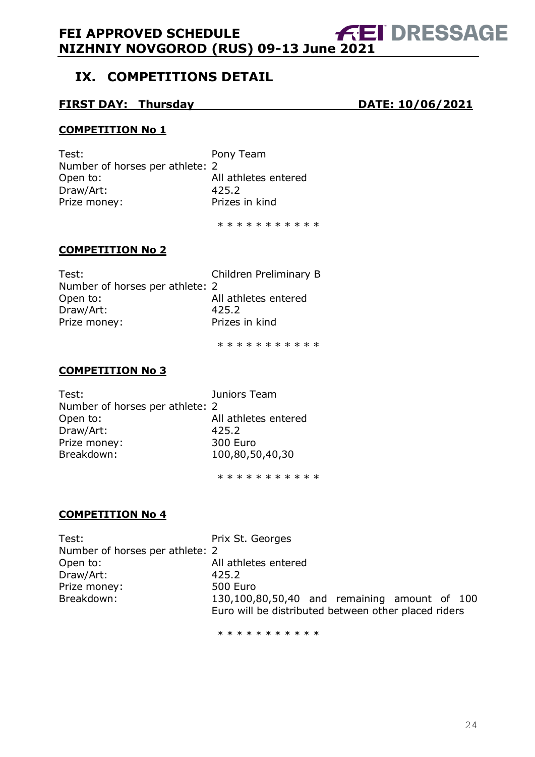# <span id="page-23-0"></span>**IX. COMPETITIONS DETAIL**

#### **FIRST DAY: Thursday DATE: 10/06/2021**

#### **COMPETITION No 1**

Test: Pony Team Number of horses per athlete: 2 Open to: All athletes entered Draw/Art: 425.2 Prize money: Prizes in kind

\* \* \* \* \* \* \* \* \* \*

#### **COMPETITION No 2**

| Test:                           | Children Preliminary B |
|---------------------------------|------------------------|
| Number of horses per athlete: 2 |                        |
| Open to:                        | All athletes entered   |
| Draw/Art:                       | 425.2                  |
| Prize money:                    | Prizes in kind         |
|                                 |                        |

\* \* \* \* \* \* \* \* \* \*

#### **COMPETITION No 3**

Test: Juniors Team Number of horses per athlete: 2 Open to: All athletes entered Draw/Art: 425.2 Prize money: 300 Euro Breakdown: 100,80,50,40,30

\* \* \* \* \* \* \* \* \* \*

## **COMPETITION No 4**

Test: Test: Prix St. Georges Number of horses per athlete: 2 Open to: All athletes entered Draw/Art: 425.2 Prize money: 500 Euro Breakdown: 130,100,80,50,40 and remaining amount of 100 Euro will be distributed between other placed riders

\* \* \* \* \* \* \* \* \* \*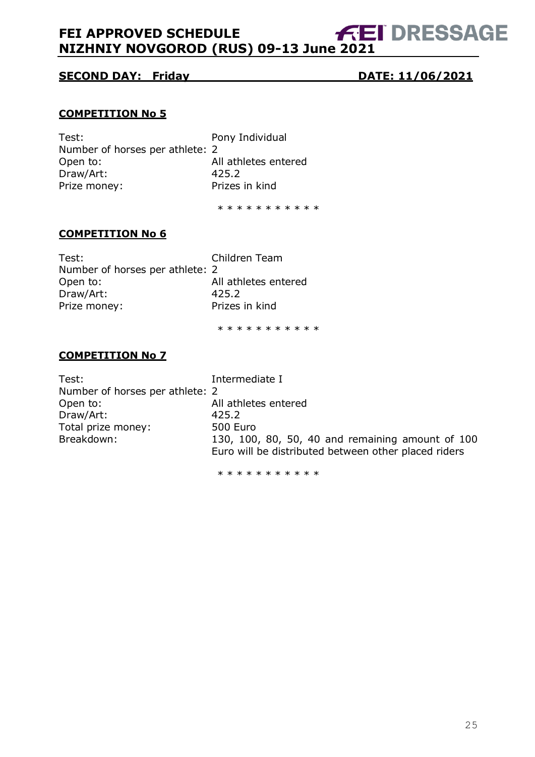#### **SECOND DAY: Friday DATE: 11/06/2021**

#### **COMPETITION No 5**

Test: Pony Individual Number of horses per athlete: 2 Open to: All athletes entered Draw/Art: 425.2 Prize money: Prizes in kind

\* \* \* \* \* \* \* \* \* \*

#### **COMPETITION No 6**

| Test:                           | Children Team        |
|---------------------------------|----------------------|
| Number of horses per athlete: 2 |                      |
| Open to:                        | All athletes entered |
| Draw/Art:                       | 425.2                |
| Prize money:                    | Prizes in kind       |
|                                 |                      |

\* \* \* \* \* \* \* \* \* \*

#### **COMPETITION No 7**

Test: Intermediate I Number of horses per athlete: 2 Open to: All athletes entered Draw/Art: 425.2 Total prize money: 500 Euro Breakdown: 130, 100, 80, 50, 40 and remaining amount of 100 Euro will be distributed between other placed riders

\* \* \* \* \* \* \* \* \* \*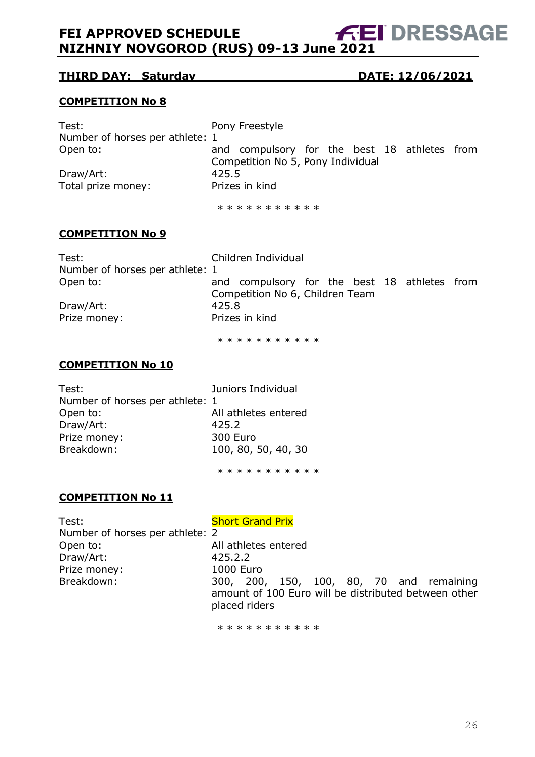#### **THIRD DAY: Saturday DATE: 12/06/2021**

#### **COMPETITION No 8**

| Test:                           |       | Pony Freestyle                               |  |  |  |
|---------------------------------|-------|----------------------------------------------|--|--|--|
| Number of horses per athlete: 1 |       |                                              |  |  |  |
| Open to:                        |       | and compulsory for the best 18 athletes from |  |  |  |
|                                 |       | Competition No 5, Pony Individual            |  |  |  |
| Draw/Art:                       | 425.5 |                                              |  |  |  |
| Total prize money:              |       | Prizes in kind                               |  |  |  |
|                                 |       |                                              |  |  |  |

\* \* \* \* \* \* \* \* \* \* \*

#### **COMPETITION No 9**

| Test:                           | Children Individual                                                             |  |  |  |  |
|---------------------------------|---------------------------------------------------------------------------------|--|--|--|--|
| Number of horses per athlete: 1 |                                                                                 |  |  |  |  |
| Open to:                        | and compulsory for the best 18 athletes from<br>Competition No 6, Children Team |  |  |  |  |
| Draw/Art:                       | 425.8                                                                           |  |  |  |  |
| Prize money:                    | Prizes in kind                                                                  |  |  |  |  |

\* \* \* \* \* \* \* \* \* \*

#### **COMPETITION No 10**

| Test:                           | Juniors Individual   |
|---------------------------------|----------------------|
| Number of horses per athlete: 1 |                      |
| Open to:                        | All athletes entered |
| Draw/Art:                       | 425.2                |
| Prize money:                    | 300 Euro             |
| Breakdown:                      | 100, 80, 50, 40, 30  |
|                                 |                      |

\* \* \* \* \* \* \* \* \* \*

#### **COMPETITION No 11**

Test: Test: Short Grand Prix Number of horses per athlete: 2 Open to: All athletes entered Draw/Art: 425.2.2 Prize money: 1000 Euro

Breakdown: 300, 200, 150, 100, 80, 70 and remaining amount of 100 Euro will be distributed between other placed riders

\* \* \* \* \* \* \* \* \* \*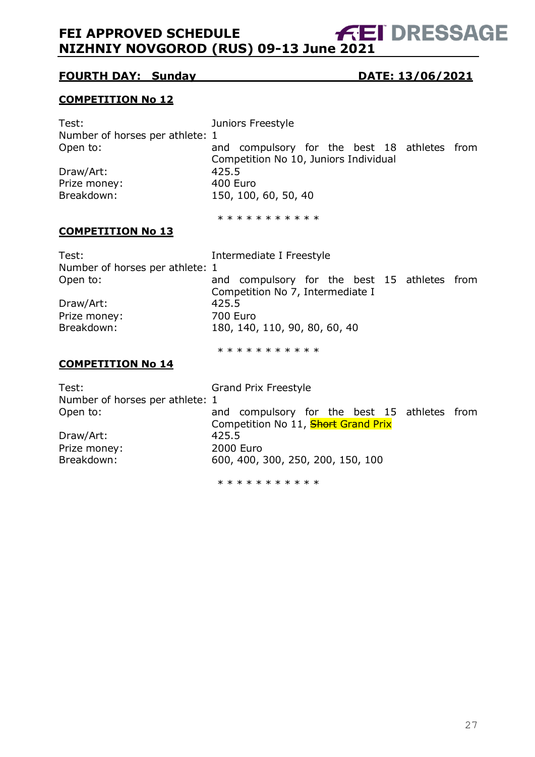## **FOURTH DAY: Sunday DATE: 13/06/2021**

#### **COMPETITION No 12**

| Test:<br>Number of horses per athlete: 1<br>Open to:<br>Draw/Art:<br>Prize money:<br>Breakdown:                             | Juniors Freestyle<br>and compulsory for the best 18 athletes from<br>Competition No 10, Juniors Individual<br>425.5<br>400 Euro<br>150, 100, 60, 50, 40                                                              |  |
|-----------------------------------------------------------------------------------------------------------------------------|----------------------------------------------------------------------------------------------------------------------------------------------------------------------------------------------------------------------|--|
|                                                                                                                             | * * * * * * * * * * *                                                                                                                                                                                                |  |
| <b>COMPETITION No 13</b>                                                                                                    |                                                                                                                                                                                                                      |  |
| Test:<br>Number of horses per athlete: 1<br>Open to:<br>Draw/Art:<br>Prize money:<br>Breakdown:<br><b>COMPETITION No 14</b> | Intermediate I Freestyle<br>and compulsory for the best 15 athletes from<br>Competition No 7, Intermediate I<br>425.5<br><b>700 Euro</b><br>180, 140, 110, 90, 80, 60, 40<br>* * * * * * * * * * *                   |  |
| Test:<br>Number of horses per athlete: 1<br>Open to:<br>Draw/Art:<br>Prize money:<br>Breakdown:                             | <b>Grand Prix Freestyle</b><br>and compulsory for the best 15 athletes from<br>Competition No 11, <b>Short Grand Prix</b><br>425.5<br><b>2000 Euro</b><br>600, 400, 300, 250, 200, 150, 100<br>* * * * * * * * * * * |  |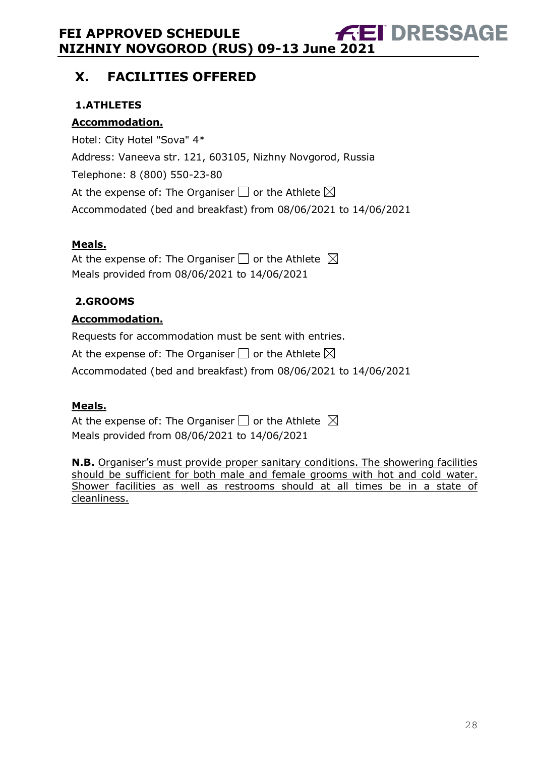# <span id="page-27-0"></span>**X. FACILITIES OFFERED**

# <span id="page-27-1"></span>**1.ATHLETES**

## **Accommodation.**

Hotel: City Hotel "Sova" 4\* Address: Vaneeva str. 121, 603105, Nizhny Novgorod, Russia Telephone: [8 \(800\) 550-23-80](https://www.google.com/search?rlz=1C1GCEU_ruRU865RU866&ei=m_pRYIq4OsrHrgTv4Lq4CQ&hotel_occupancy=&q=%D0%BE%D1%82%D0%B5%D0%BB%D1%8C+%D1%81%D0%BE%D0%B2%D0%B0+%D0%BD%D0%B8%D0%B6%D0%BD%D0%B8%D0%B9+%D0%BD%D0%BE%D0%B2%D0%B3%D0%BE%D1%80%D0%BE%D0%B4+%D0%BA%D0%BE%D0%BD%D1%82%D0%B0%D0%BA%D1%82%D1%8B&oq=%D0%BE%D1%82%D0%B5%D0%BB%D1%8C+%D1%81%D0%BE%D0%B2%D0%B0+%D0%BD%D0%B8%D0%B6%D0%BD%D0%B8%D0%B9+%D0%BD%D0%BE%D0%B2%D0%B3%D0%BE%D1%80%D0%BE%D0%B4+&gs_lcp=Cgdnd3Mtd2l6EAEYADIICAAQxwEQrwEyAggAMgYIABAWEB4yBggAEBYQHjIGCAAQFhAeOgcIABBHELADUKWbA1ilmwNgiKUDaAFwAngAgAGZAYgB8AGSAQMxLjGYAQCgAQGqAQdnd3Mtd2l6yAEIwAEB&sclient=gws-wiz) At the expense of: The Organiser  $\Box$  or the Athlete  $\boxtimes$ Accommodated (bed and breakfast) from 08/06/2021 to 14/06/2021

## **Meals.**

At the expense of: The Organiser  $\Box$  or the Athlete  $\boxtimes$ Meals provided from 08/06/2021 to 14/06/2021

## <span id="page-27-2"></span>**2.GROOMS**

## **Accommodation.**

Requests for accommodation must be sent with entries.

At the expense of: The Organiser  $\Box$  or the Athlete  $\boxtimes$ 

Accommodated (bed and breakfast) from 08/06/2021 to 14/06/2021

## **Meals.**

At the expense of: The Organiser  $\square$  or the Athlete  $\boxtimes$ Meals provided from 08/06/2021 to 14/06/2021

**N.B.** Organiser's must provide proper sanitary conditions. The showering facilities should be sufficient for both male and female grooms with hot and cold water. Shower facilities as well as restrooms should at all times be in a state of cleanliness.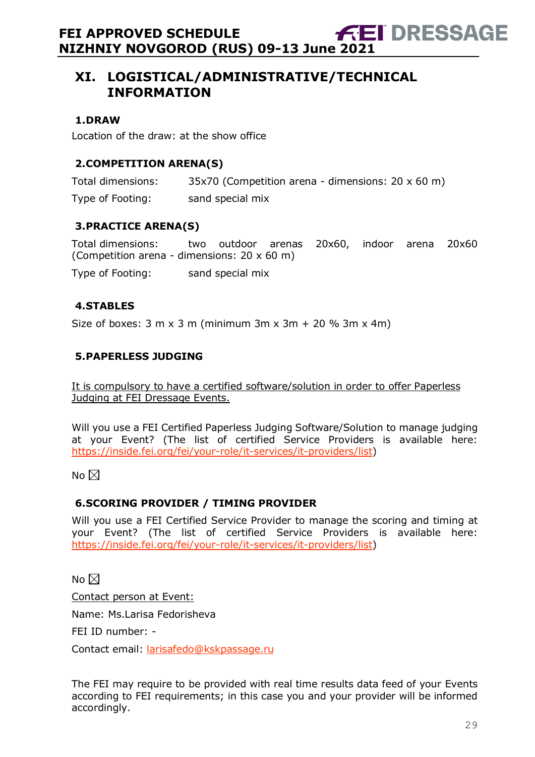# <span id="page-28-0"></span>**XI. LOGISTICAL/ADMINISTRATIVE/TECHNICAL INFORMATION**

#### <span id="page-28-1"></span>**1.DRAW**

Location of the draw: at the show office

#### <span id="page-28-2"></span>**2.COMPETITION ARENA(S)**

Total dimensions: 35x70 (Competition arena - dimensions: 20 x 60 m)

Type of Footing: sand special mix

#### <span id="page-28-3"></span>**3.PRACTICE ARENA(S)**

Total dimensions: two outdoor arenas 20x60, indoor arena 20x60 (Competition arena - dimensions: 20 x 60 m)

Type of Footing: sand special mix

#### <span id="page-28-4"></span>**4.STABLES**

Size of boxes:  $3 \text{ m} \times 3 \text{ m}$  (minimum  $3 \text{ m} \times 3 \text{ m} + 20$  %  $3 \text{ m} \times 4 \text{ m}$ )

#### <span id="page-28-5"></span>**5.PAPERLESS JUDGING**

It is compulsory to have a certified software/solution in order to offer Paperless Judging at FEI Dressage Events.

Will you use a FEI Certified Paperless Judging Software/Solution to manage judging at your Event? (The list of certified Service Providers is available here: [https://inside.fei.org/fei/your-role/it-services/it-providers/list\)](https://inside.fei.org/fei/your-role/it-services/it-providers/list)

No  $\boxtimes$ 

#### <span id="page-28-6"></span>**6.SCORING PROVIDER / TIMING PROVIDER**

Will you use a FEI Certified Service Provider to manage the scoring and timing at your Event? (The list of certified Service Providers is available here: [https://inside.fei.org/fei/your-role/it-services/it-providers/list\)](https://inside.fei.org/fei/your-role/it-services/it-providers/list)

No  $\boxtimes$ 

Contact person at Event:

Name: Ms.Larisa Fedorisheva

FEI ID number: -

Contact email: [larisafedo@kskpassage.ru](mailto:larisafedo@kskpassage.ru)

The FEI may require to be provided with real time results data feed of your Events according to FEI requirements; in this case you and your provider will be informed accordingly.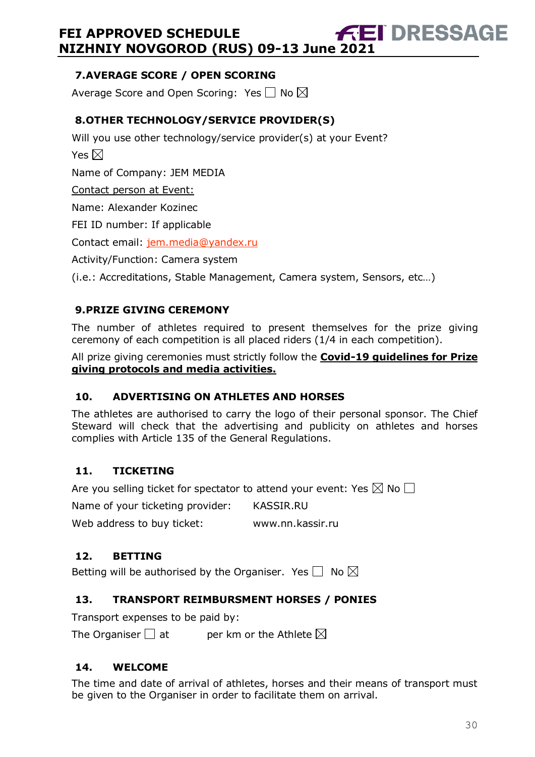## <span id="page-29-0"></span>**7.AVERAGE SCORE / OPEN SCORING**

Average Score and Open Scoring: Yes  $\Box$  No  $\boxtimes$ 

# <span id="page-29-1"></span>**8.OTHER TECHNOLOGY/SERVICE PROVIDER(S)**

Will you use other technology/service provider(s) at your Event? Yes  $\boxtimes$ Name of Company: JEM MEDIA Contact person at Event: Name: Alexander Kozinec FEI ID number: If applicable Contact email: [jem.media@yandex.ru](mailto:jem.media@yandex.ru) Activity/Function: Camera system

(i.e.: Accreditations, Stable Management, Camera system, Sensors, etc…)

# <span id="page-29-2"></span>**9.PRIZE GIVING CEREMONY**

The number of athletes required to present themselves for the prize giving ceremony of each competition is all placed riders (1/4 in each competition).

All prize giving ceremonies must strictly follow the **Covid-19 guidelines for Prize giving protocols and media activities.**

## <span id="page-29-3"></span>**10. ADVERTISING ON ATHLETES AND HORSES**

The athletes are authorised to carry the logo of their personal sponsor. The Chief Steward will check that the advertising and publicity on athletes and horses complies with Article 135 of the General Regulations.

## <span id="page-29-4"></span>**11. TICKETING**

Are you selling ticket for spectator to attend your event: Yes  $\boxtimes$  No  $\Box$ 

Name of your ticketing provider: KASSIR.RU

Web address to buy ticket: www.nn.kassir.ru

## <span id="page-29-5"></span>**12. BETTING**

Betting will be authorised by the Organiser. Yes  $\Box$  No  $\boxtimes$ 

# <span id="page-29-6"></span>**13. TRANSPORT REIMBURSMENT HORSES / PONIES**

Transport expenses to be paid by:

The Organiser  $\square$  at entrieform or the Athlete  $\boxtimes$ 

## <span id="page-29-7"></span>**14. WELCOME**

The time and date of arrival of athletes, horses and their means of transport must be given to the Organiser in order to facilitate them on arrival.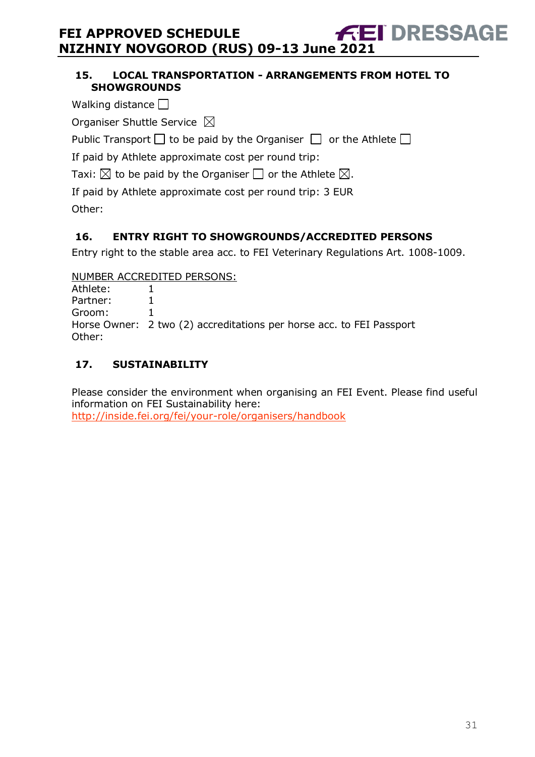#### <span id="page-30-0"></span>**15. LOCAL TRANSPORTATION - ARRANGEMENTS FROM HOTEL TO SHOWGROUNDS**

- Walking distance  $\square$
- Organiser Shuttle Service  $\boxtimes$

Public Transport  $\Box$  to be paid by the Organiser  $\Box$  or the Athlete  $\Box$ 

If paid by Athlete approximate cost per round trip:

Taxi:  $\boxtimes$  to be paid by the Organiser  $\Box$  or the Athlete  $\boxtimes$ .

If paid by Athlete approximate cost per round trip: 3 EUR Other:

#### <span id="page-30-1"></span>**16. ENTRY RIGHT TO SHOWGROUNDS/ACCREDITED PERSONS**

Entry right to the stable area acc. to FEI Veterinary Regulations Art. 1008-1009.

NUMBER ACCREDITED PERSONS:

Athlete: 1 Partner: 1 Groom: 1 Horse Owner: 2 two (2) accreditations per horse acc. to FEI Passport Other:

# <span id="page-30-2"></span>**17. SUSTAINABILITY**

Please consider the environment when organising an FEI Event. Please find useful information on FEI Sustainability here: <http://inside.fei.org/fei/your-role/organisers/handbook>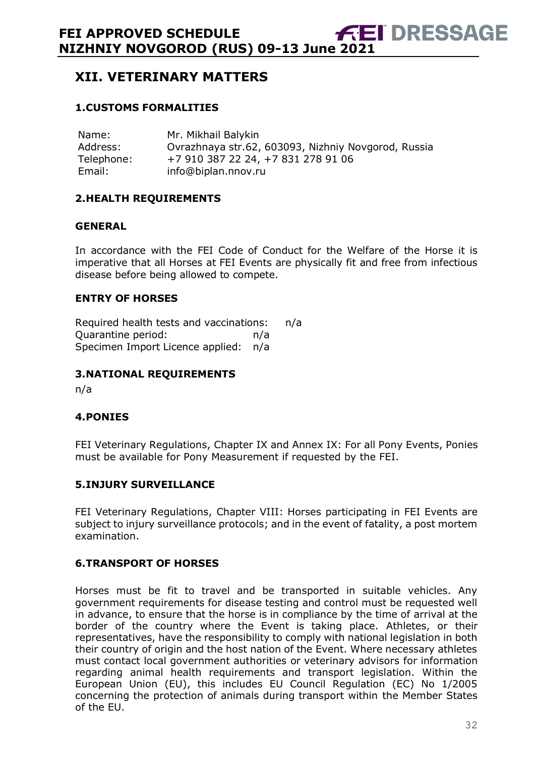# <span id="page-31-0"></span>**XII. VETERINARY MATTERS**

#### <span id="page-31-1"></span>**1.CUSTOMS FORMALITIES**

Name: Mr. Mikhail Balykin Address: Ovrazhnaya str.62, 603093, Nizhniy Novgorod, Russia Telephone: +7 910 387 22 24, +7 831 278 91 06 Email: info@biplan.nnov.ru

#### <span id="page-31-2"></span>**2.HEALTH REQUIREMENTS**

#### **GENERAL**

In accordance with the FEI Code of Conduct for the Welfare of the Horse it is imperative that all Horses at FEI Events are physically fit and free from infectious disease before being allowed to compete.

#### **ENTRY OF HORSES**

Required health tests and vaccinations: n/a Quarantine period: n/a Specimen Import Licence applied: n/a

#### <span id="page-31-3"></span>**3.NATIONAL REQUIREMENTS**

n/a

#### <span id="page-31-4"></span>**4.PONIES**

FEI Veterinary Regulations, Chapter IX and Annex IX: For all Pony Events, Ponies must be available for Pony Measurement if requested by the FEI.

#### <span id="page-31-5"></span>**5.INJURY SURVEILLANCE**

FEI Veterinary Regulations, Chapter VIII: Horses participating in FEI Events are subject to injury surveillance protocols; and in the event of fatality, a post mortem examination.

#### <span id="page-31-6"></span>**6.TRANSPORT OF HORSES**

Horses must be fit to travel and be transported in suitable vehicles. Any government requirements for disease testing and control must be requested well in advance, to ensure that the horse is in compliance by the time of arrival at the border of the country where the Event is taking place. Athletes, or their representatives, have the responsibility to comply with national legislation in both their country of origin and the host nation of the Event. Where necessary athletes must contact local government authorities or veterinary advisors for information regarding animal health requirements and transport legislation. Within the European Union (EU), this includes EU Council Regulation (EC) No 1/2005 concerning the protection of animals during transport within the Member States of the EU.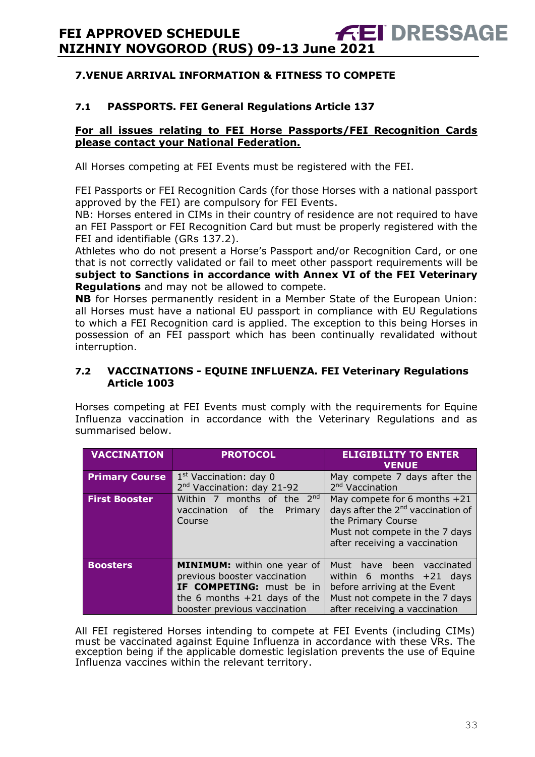#### <span id="page-32-0"></span>**7.VENUE ARRIVAL INFORMATION & FITNESS TO COMPETE**

#### **7.1 PASSPORTS. FEI General Regulations Article 137**

#### **For all issues relating to FEI Horse Passports/FEI Recognition Cards please contact your National Federation.**

All Horses competing at FEI Events must be registered with the FEI.

FEI Passports or FEI Recognition Cards (for those Horses with a national passport approved by the FEI) are compulsory for FEI Events.

NB: Horses entered in CIMs in their country of residence are not required to have an FEI Passport or FEI Recognition Card but must be properly registered with the FEI and identifiable (GRs 137.2).

Athletes who do not present a Horse's Passport and/or Recognition Card, or one that is not correctly validated or fail to meet other passport requirements will be **subject to Sanctions in accordance with Annex VI of the FEI Veterinary Regulations** and may not be allowed to compete.

**NB** for Horses permanently resident in a Member State of the European Union: all Horses must have a national EU passport in compliance with EU Regulations to which a FEI Recognition card is applied. The exception to this being Horses in possession of an FEI passport which has been continually revalidated without interruption.

#### **7.2 VACCINATIONS - EQUINE INFLUENZA. FEI Veterinary Regulations Article 1003**

Horses competing at FEI Events must comply with the requirements for Equine Influenza vaccination in accordance with the Veterinary Regulations and as summarised below.

| <b>VACCINATION</b>    | <b>PROTOCOL</b>                        | <b>ELIGIBILITY TO ENTER</b><br><b>VENUE</b>   |
|-----------------------|----------------------------------------|-----------------------------------------------|
| <b>Primary Course</b> | 1 <sup>st</sup> Vaccination: day 0     | May compete 7 days after the                  |
|                       | 2 <sup>nd</sup> Vaccination: day 21-92 | 2 <sup>nd</sup> Vaccination                   |
| <b>First Booster</b>  | Within 7 months of the $2^{nd}$        | May compete for 6 months $+21$                |
|                       | the<br>of<br>Primary<br>vaccination    | days after the 2 <sup>nd</sup> vaccination of |
|                       | Course                                 | the Primary Course                            |
|                       |                                        | Must not compete in the 7 days                |
|                       |                                        | after receiving a vaccination                 |
|                       |                                        |                                               |
| <b>Boosters</b>       | MINIMUM: within one year of            | Must have been vaccinated                     |
|                       | previous booster vaccination           | within 6 months $+21$ days                    |
|                       | IF COMPETING: must be in               | before arriving at the Event                  |
|                       | the 6 months $+21$ days of the         | Must not compete in the 7 days                |
|                       | booster previous vaccination           | after receiving a vaccination                 |

All FEI registered Horses intending to compete at FEI Events (including CIMs) must be vaccinated against Equine Influenza in accordance with these VRs. The exception being if the applicable domestic legislation prevents the use of Equine Influenza vaccines within the relevant territory.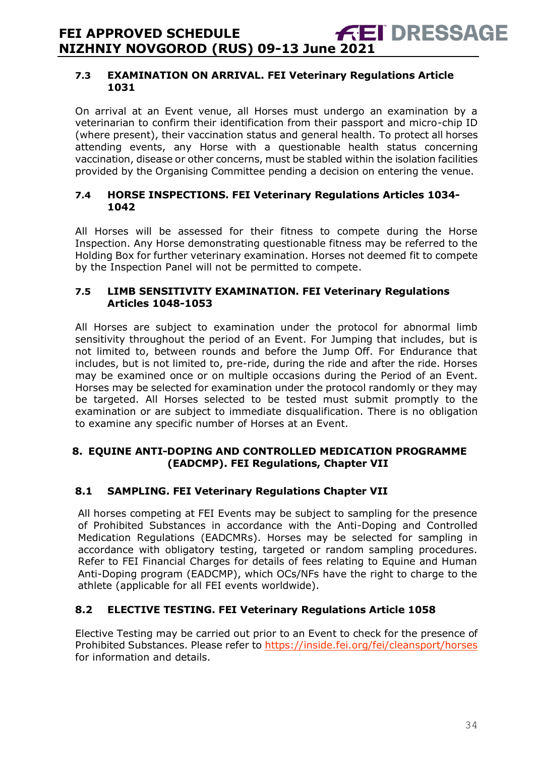#### **7.3 EXAMINATION ON ARRIVAL. FEI Veterinary Regulations Article 1031**

On arrival at an Event venue, all Horses must undergo an examination by a veterinarian to confirm their identification from their passport and micro-chip ID (where present), their vaccination status and general health. To protect all horses attending events, any Horse with a questionable health status concerning vaccination, disease or other concerns, must be stabled within the isolation facilities provided by the Organising Committee pending a decision on entering the venue.

#### **7.4 HORSE INSPECTIONS. FEI Veterinary Regulations Articles 1034- 1042**

All Horses will be assessed for their fitness to compete during the Horse Inspection. Any Horse demonstrating questionable fitness may be referred to the Holding Box for further veterinary examination. Horses not deemed fit to compete by the Inspection Panel will not be permitted to compete.

#### **7.5 LIMB SENSITIVITY EXAMINATION. FEI Veterinary Regulations Articles 1048-1053**

All Horses are subject to examination under the protocol for abnormal limb sensitivity throughout the period of an Event. For Jumping that includes, but is not limited to, between rounds and before the Jump Off. For Endurance that includes, but is not limited to, pre-ride, during the ride and after the ride. Horses may be examined once or on multiple occasions during the Period of an Event. Horses may be selected for examination under the protocol randomly or they may be targeted. All Horses selected to be tested must submit promptly to the examination or are subject to immediate disqualification. There is no obligation to examine any specific number of Horses at an Event.

#### <span id="page-33-0"></span>**8. EQUINE ANTI-DOPING AND CONTROLLED MEDICATION PROGRAMME (EADCMP). FEI Regulations, Chapter VII**

#### **8.1 SAMPLING. FEI Veterinary Regulations Chapter VII**

All horses competing at FEI Events may be subject to sampling for the presence of Prohibited Substances in accordance with the Anti-Doping and Controlled Medication Regulations (EADCMRs). Horses may be selected for sampling in accordance with obligatory testing, targeted or random sampling procedures. Refer to FEI Financial Charges for details of fees relating to Equine and Human Anti-Doping program (EADCMP), which OCs/NFs have the right to charge to the athlete (applicable for all FEI events worldwide).

#### **8.2 ELECTIVE TESTING. FEI Veterinary Regulations Article 1058**

Elective Testing may be carried out prior to an Event to check for the presence of Prohibited Substances. Please refer to https://inside.fei.org/fei/cleansport/horses for information and details.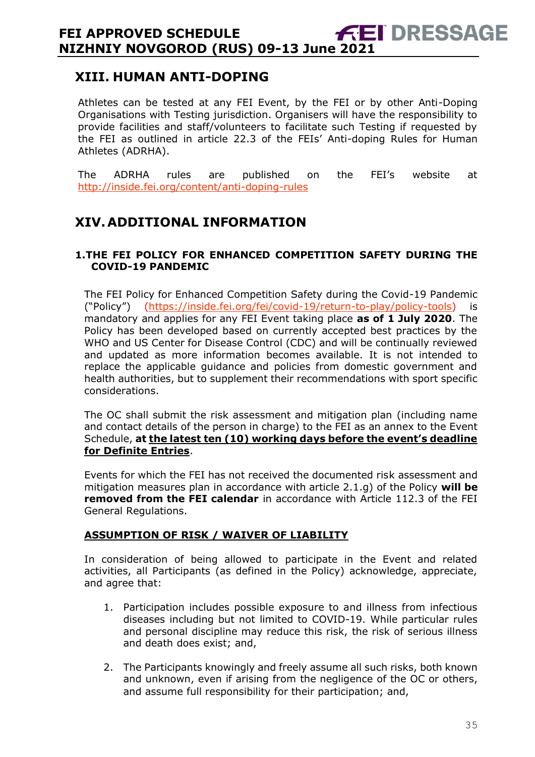# <span id="page-34-0"></span>**XIII. HUMAN ANTI-DOPING**

Athletes can be tested at any FEI Event, by the FEI or by other Anti-Doping Organisations with Testing jurisdiction. Organisers will have the responsibility to provide facilities and staff/volunteers to facilitate such Testing if requested by the FEI as outlined in article 22.3 of the FEIs' Anti-doping Rules for Human Athletes (ADRHA).

The ADRHA rules are published on the FEI's website at <http://inside.fei.org/content/anti-doping-rules>

# <span id="page-34-1"></span>**XIV.ADDITIONAL INFORMATION**

#### <span id="page-34-2"></span>**1.THE FEI POLICY FOR ENHANCED COMPETITION SAFETY DURING THE COVID-19 PANDEMIC**

The FEI Policy for Enhanced Competition Safety during the Covid-19 Pandemic ("Policy") [\(https://inside.fei.org/fei/covid-19/return-to-play/policy-tools\)](https://inside.fei.org/fei/covid-19/return-to-play/policy-tools) is mandatory and applies for any FEI Event taking place **as of 1 July 2020**. The Policy has been developed based on currently accepted best practices by the WHO and US Center for Disease Control (CDC) and will be continually reviewed and updated as more information becomes available. It is not intended to replace the applicable guidance and policies from domestic government and health authorities, but to supplement their recommendations with sport specific considerations.

The OC shall submit the risk assessment and mitigation plan (including name and contact details of the person in charge) to the FEI as an annex to the Event Schedule, **at the latest ten (10) working days before the event's deadline for Definite Entries**.

Events for which the FEI has not received the documented risk assessment and mitigation measures plan in accordance with article 2.1.g) of the Policy **will be removed from the FEI calendar** in accordance with Article 112.3 of the FEI General Regulations.

#### **ASSUMPTION OF RISK / WAIVER OF LIABILITY**

In consideration of being allowed to participate in the Event and related activities, all Participants (as defined in the Policy) acknowledge, appreciate, and agree that:

- 1. Participation includes possible exposure to and illness from infectious diseases including but not limited to COVID-19. While particular rules and personal discipline may reduce this risk, the risk of serious illness and death does exist; and,
- 2. The Participants knowingly and freely assume all such risks, both known and unknown, even if arising from the negligence of the OC or others, and assume full responsibility for their participation; and,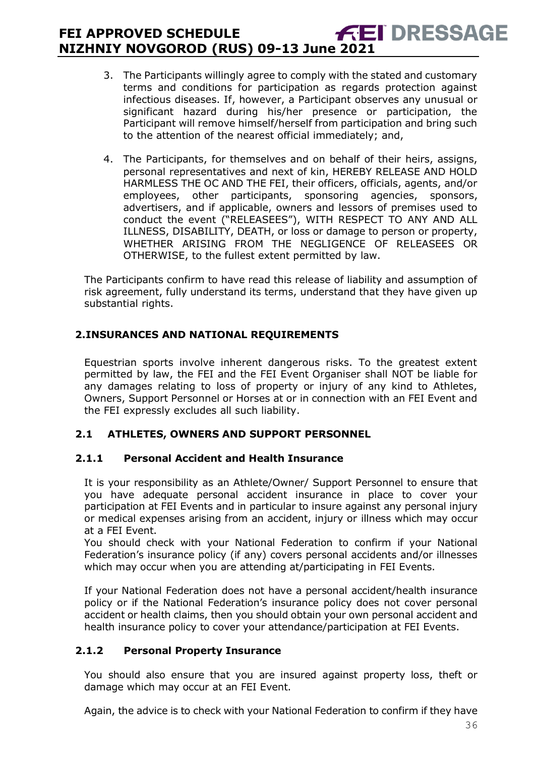- 3. The Participants willingly agree to comply with the stated and customary terms and conditions for participation as regards protection against infectious diseases. If, however, a Participant observes any unusual or significant hazard during his/her presence or participation, the Participant will remove himself/herself from participation and bring such to the attention of the nearest official immediately; and,
- 4. The Participants, for themselves and on behalf of their heirs, assigns, personal representatives and next of kin, HEREBY RELEASE AND HOLD HARMLESS THE OC AND THE FEI, their officers, officials, agents, and/or employees, other participants, sponsoring agencies, sponsors, advertisers, and if applicable, owners and lessors of premises used to conduct the event ("RELEASEES"), WITH RESPECT TO ANY AND ALL ILLNESS, DISABILITY, DEATH, or loss or damage to person or property, WHETHER ARISING FROM THE NEGLIGENCE OF RELEASEES OR OTHERWISE, to the fullest extent permitted by law.

The Participants confirm to have read this release of liability and assumption of risk agreement, fully understand its terms, understand that they have given up substantial rights.

#### <span id="page-35-0"></span>**2.INSURANCES AND NATIONAL REQUIREMENTS**

Equestrian sports involve inherent dangerous risks. To the greatest extent permitted by law, the FEI and the FEI Event Organiser shall NOT be liable for any damages relating to loss of property or injury of any kind to Athletes, Owners, Support Personnel or Horses at or in connection with an FEI Event and the FEI expressly excludes all such liability.

#### **2.1 ATHLETES, OWNERS AND SUPPORT PERSONNEL**

#### **2.1.1 Personal Accident and Health Insurance**

It is your responsibility as an Athlete/Owner/ Support Personnel to ensure that you have adequate personal accident insurance in place to cover your participation at FEI Events and in particular to insure against any personal injury or medical expenses arising from an accident, injury or illness which may occur at a FEI Event.

You should check with your National Federation to confirm if your National Federation's insurance policy (if any) covers personal accidents and/or illnesses which may occur when you are attending at/participating in FEI Events.

If your National Federation does not have a personal accident/health insurance policy or if the National Federation's insurance policy does not cover personal accident or health claims, then you should obtain your own personal accident and health insurance policy to cover your attendance/participation at FEI Events.

#### **2.1.2 Personal Property Insurance**

You should also ensure that you are insured against property loss, theft or damage which may occur at an FEI Event.

Again, the advice is to check with your National Federation to confirm if they have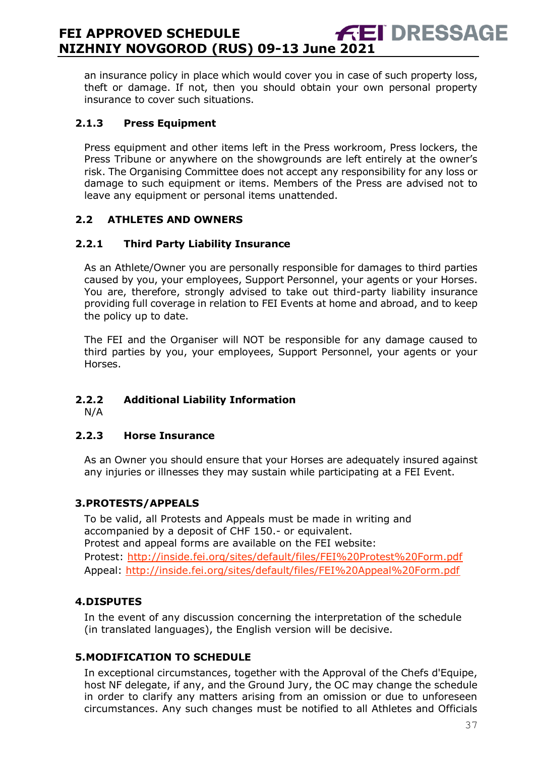an insurance policy in place which would cover you in case of such property loss, theft or damage. If not, then you should obtain your own personal property insurance to cover such situations.

#### **2.1.3 Press Equipment**

Press equipment and other items left in the Press workroom, Press lockers, the Press Tribune or anywhere on the showgrounds are left entirely at the owner's risk. The Organising Committee does not accept any responsibility for any loss or damage to such equipment or items. Members of the Press are advised not to leave any equipment or personal items unattended.

#### **2.2 ATHLETES AND OWNERS**

#### **2.2.1 Third Party Liability Insurance**

As an Athlete/Owner you are personally responsible for damages to third parties caused by you, your employees, Support Personnel, your agents or your Horses. You are, therefore, strongly advised to take out third-party liability insurance providing full coverage in relation to FEI Events at home and abroad, and to keep the policy up to date.

The FEI and the Organiser will NOT be responsible for any damage caused to third parties by you, your employees, Support Personnel, your agents or your Horses.

## **2.2.2 Additional Liability Information**

N/A

#### **2.2.3 Horse Insurance**

As an Owner you should ensure that your Horses are adequately insured against any injuries or illnesses they may sustain while participating at a FEI Event.

#### <span id="page-36-0"></span>**3.PROTESTS/APPEALS**

To be valid, all Protests and Appeals must be made in writing and accompanied by a deposit of CHF 150.- or equivalent. Protest and appeal forms are available on the FEI website: Protest:<http://inside.fei.org/sites/default/files/FEI%20Protest%20Form.pdf> Appeal:<http://inside.fei.org/sites/default/files/FEI%20Appeal%20Form.pdf>

#### <span id="page-36-1"></span>**4.DISPUTES**

In the event of any discussion concerning the interpretation of the schedule (in translated languages), the English version will be decisive.

#### <span id="page-36-2"></span>**5.MODIFICATION TO SCHEDULE**

In exceptional circumstances, together with the Approval of the Chefs d'Equipe, host NF delegate, if any, and the Ground Jury, the OC may change the schedule in order to clarify any matters arising from an omission or due to unforeseen circumstances. Any such changes must be notified to all Athletes and Officials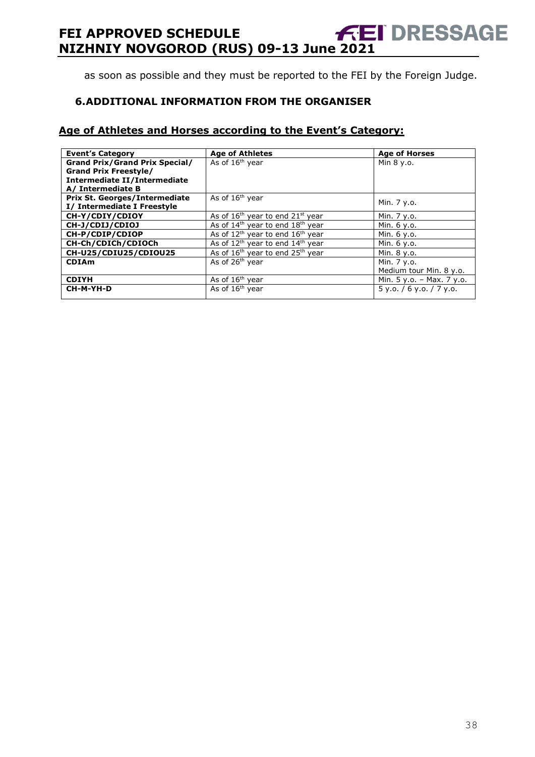as soon as possible and they must be reported to the FEI by the Foreign Judge.

#### <span id="page-37-0"></span>**6.ADDITIONAL INFORMATION FROM THE ORGANISER**

#### **Age of Athletes and Horses according to the Event's Category:**

| <b>Event's Category</b>               | <b>Age of Athletes</b>                                   | <b>Age of Horses</b>       |
|---------------------------------------|----------------------------------------------------------|----------------------------|
| <b>Grand Prix/Grand Prix Special/</b> | As of 16 <sup>th</sup> year                              | Min 8 y.o.                 |
| <b>Grand Prix Freestyle/</b>          |                                                          |                            |
| Intermediate II/Intermediate          |                                                          |                            |
| A/ Intermediate B                     |                                                          |                            |
| Prix St. Georges/Intermediate         | As of 16 <sup>th</sup> year                              |                            |
| I/ Intermediate I Freestyle           |                                                          | Min. 7 y.o.                |
| CH-Y/CDIY/CDIOY                       | As of $16th$ year to end $21st$ year                     | Min. 7 y.o.                |
| CH-J/CDIJ/CDIOJ                       | As of $14th$ year to end $18th$ year                     | Min. 6 y.o.                |
| CH-P/CDIP/CDIOP                       | As of $12th$ year to end $16th$ year                     | Min. 6 y.o.                |
| CH-Ch/CDICh/CDIOCh                    | As of $12^{th}$ year to end $14^{th}$ year               | Min. 6 y.o.                |
| CH-U25/CDIU25/CDIOU25                 | As of 16 <sup>th</sup> year to end 25 <sup>th</sup> year | Min. 8 y.o.                |
| <b>CDIAm</b>                          | As of 26 <sup>th</sup> year                              | Min. 7 y.o.                |
|                                       |                                                          | Medium tour Min. 8 y.o.    |
| <b>CDIYH</b>                          | As of 16 <sup>th</sup> year                              | Min. 5 y.o. - Max. 7 y.o.  |
| CH-M-YH-D                             | As of 16 <sup>th</sup> year                              | $5$ y.o. / 6 y.o. / 7 y.o. |
|                                       |                                                          |                            |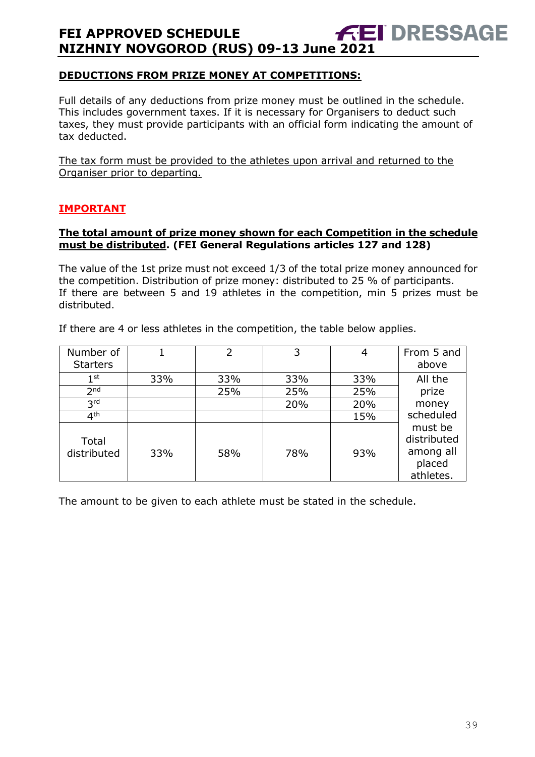#### **DEDUCTIONS FROM PRIZE MONEY AT COMPETITIONS:**

Full details of any deductions from prize money must be outlined in the schedule. This includes government taxes. If it is necessary for Organisers to deduct such taxes, they must provide participants with an official form indicating the amount of tax deducted.

The tax form must be provided to the athletes upon arrival and returned to the Organiser prior to departing.

#### **IMPORTANT**

#### **The total amount of prize money shown for each Competition in the schedule must be distributed. (FEI General Regulations articles 127 and 128)**

The value of the 1st prize must not exceed 1/3 of the total prize money announced for the competition. Distribution of prize money: distributed to 25 % of participants. If there are between 5 and 19 athletes in the competition, min 5 prizes must be distributed.

If there are 4 or less athletes in the competition, the table below applies.

| Number of<br><b>Starters</b> |     | $\overline{2}$ | 3   | 4   | From 5 and<br>above                                        |
|------------------------------|-----|----------------|-----|-----|------------------------------------------------------------|
| $1^{\rm st}$                 | 33% | 33%            | 33% | 33% | All the                                                    |
| 2 <sub>nd</sub>              |     | 25%            | 25% | 25% | prize                                                      |
| 3 <sup>rd</sup>              |     |                | 20% | 20% | money                                                      |
| 4 <sup>th</sup>              |     |                |     | 15% | scheduled                                                  |
| Total<br>distributed         | 33% | 58%            | 78% | 93% | must be<br>distributed<br>among all<br>placed<br>athletes. |

The amount to be given to each athlete must be stated in the schedule.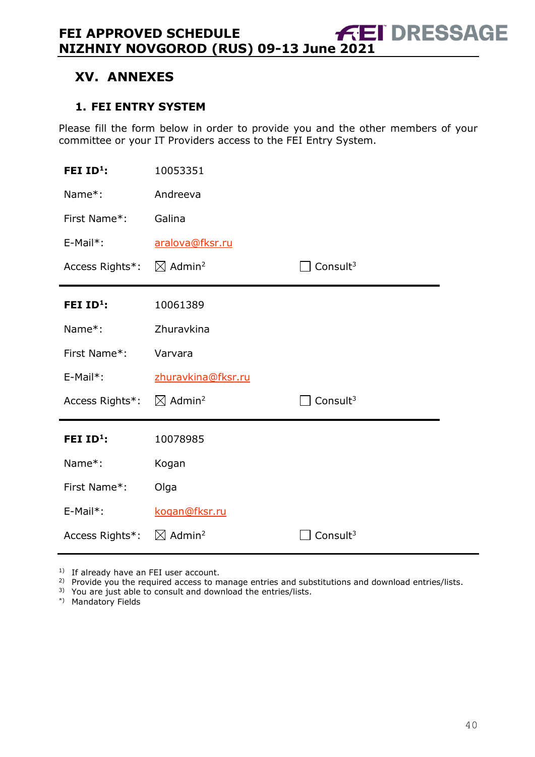# <span id="page-39-0"></span>**XV. ANNEXES**

#### <span id="page-39-1"></span>**1. FEI ENTRY SYSTEM**

Please fill the form below in order to provide you and the other members of your committee or your IT Providers access to the FEI Entry System.

| FEI ID <sup>1</sup> : | 10053351                       |                      |
|-----------------------|--------------------------------|----------------------|
| Name*:                | Andreeva                       |                      |
| First Name*:          | Galina                         |                      |
| E-Mail*:              | aralova@fksr.ru                |                      |
| Access Rights*:       | $\boxtimes$ Admin <sup>2</sup> | Consult $3$          |
| FEI $ID^1$ :          | 10061389                       |                      |
| Name*:                | Zhuravkina                     |                      |
|                       |                                |                      |
| First Name*:          | Varvara                        |                      |
| $E-Mail*$ :           | zhuravkina@fksr.ru             |                      |
| Access Rights*:       | $\boxtimes$ Admin <sup>2</sup> | Consult <sup>3</sup> |
| FEI $ID^1$ :          | 10078985                       |                      |
| Name*:                | Kogan                          |                      |
| First Name*:          | Olga                           |                      |
| E-Mail*:              | kogan@fksr.ru                  |                      |

<sup>1)</sup> If already have an FEI user account.

<sup>2)</sup> Provide you the required access to manage entries and substitutions and download entries/lists.

3) You are just able to consult and download the entries/lists.

\*) Mandatory Fields